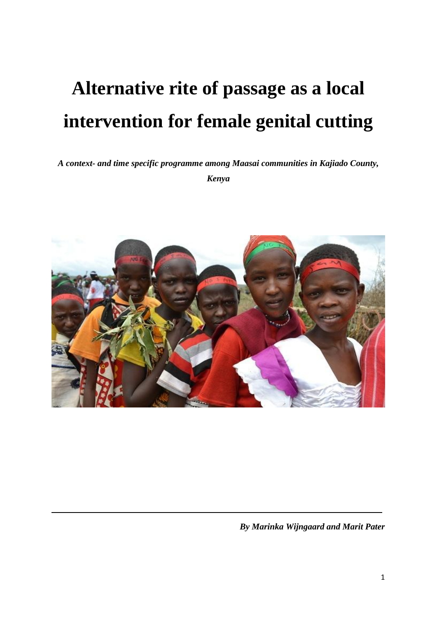# **Alternative rite of passage as a local intervention for female genital cutting**

*A context- and time specific programme among Maasai communities in Kajiado County, Kenya*



*By Marinka Wijngaard and Marit Pater*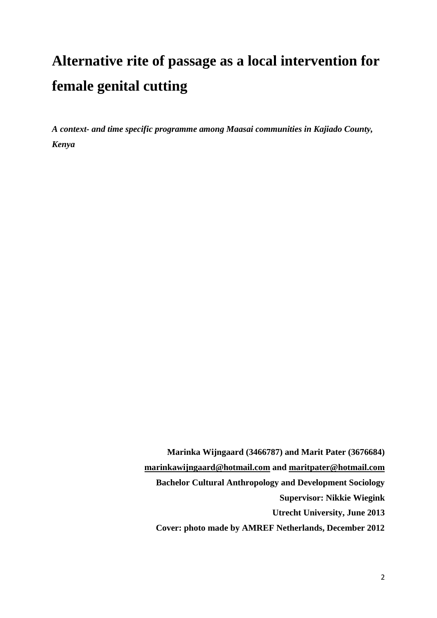## **Alternative rite of passage as a local intervention for female genital cutting**

*A context- and time specific programme among Maasai communities in Kajiado County, Kenya*

> **Marinka Wijngaard (3466787) and Marit Pater (3676684) [marinkawijngaard@hotmail.com](mailto:marinkawijngaard@hotmail.com) and [maritpater@hotmail.com](mailto:maritpater@hotmail.com) Bachelor Cultural Anthropology and Development Sociology Supervisor: Nikkie Wiegink Utrecht University, June 2013 Cover: photo made by AMREF Netherlands, December 2012**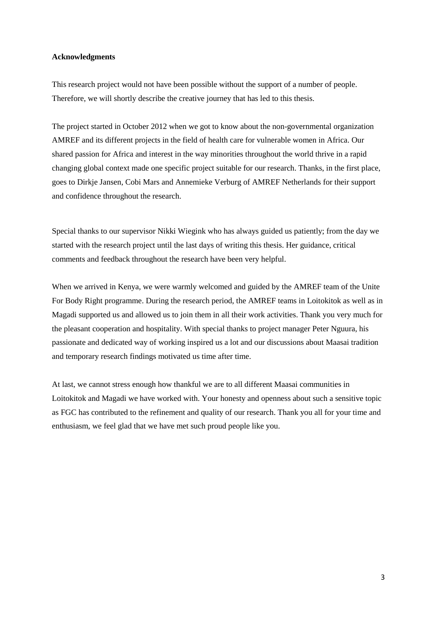#### **Acknowledgments**

This research project would not have been possible without the support of a number of people. Therefore, we will shortly describe the creative journey that has led to this thesis.

The project started in October 2012 when we got to know about the non-governmental organization AMREF and its different projects in the field of health care for vulnerable women in Africa. Our shared passion for Africa and interest in the way minorities throughout the world thrive in a rapid changing global context made one specific project suitable for our research. Thanks, in the first place, goes to Dirkje Jansen, Cobi Mars and Annemieke Verburg of AMREF Netherlands for their support and confidence throughout the research.

Special thanks to our supervisor Nikki Wiegink who has always guided us patiently; from the day we started with the research project until the last days of writing this thesis. Her guidance, critical comments and feedback throughout the research have been very helpful.

When we arrived in Kenya, we were warmly welcomed and guided by the AMREF team of the Unite For Body Right programme. During the research period, the AMREF teams in Loitokitok as well as in Magadi supported us and allowed us to join them in all their work activities. Thank you very much for the pleasant cooperation and hospitality. With special thanks to project manager Peter Nguura, his passionate and dedicated way of working inspired us a lot and our discussions about Maasai tradition and temporary research findings motivated us time after time.

At last, we cannot stress enough how thankful we are to all different Maasai communities in Loitokitok and Magadi we have worked with. Your honesty and openness about such a sensitive topic as FGC has contributed to the refinement and quality of our research. Thank you all for your time and enthusiasm, we feel glad that we have met such proud people like you.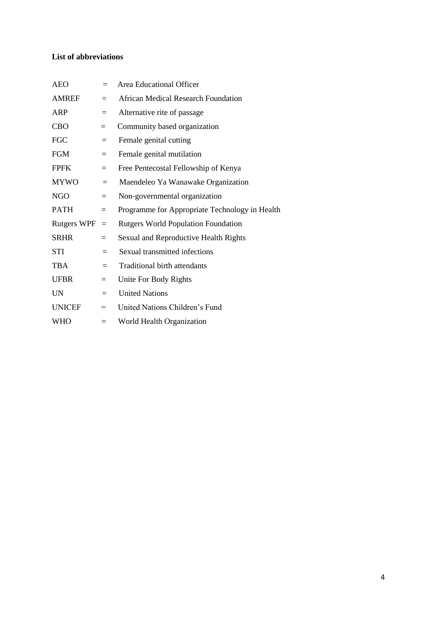## **List of abbreviations**

| <b>AEO</b>         | $=$      | Area Educational Officer                       |
|--------------------|----------|------------------------------------------------|
| <b>AMREF</b>       | $=$      | African Medical Research Foundation            |
| <b>ARP</b>         | $=$      | Alternative rite of passage                    |
| <b>CBO</b>         | $=$      | Community based organization                   |
| <b>FGC</b>         | $=$      | Female genital cutting                         |
| <b>FGM</b>         | $=$      | Female genital mutilation                      |
| <b>FPFK</b>        | $=$      | Free Pentecostal Fellowship of Kenya           |
| <b>MYWO</b>        | $=$      | Maendeleo Ya Wanawake Organization             |
| <b>NGO</b>         | $=$      | Non-governmental organization                  |
| <b>PATH</b>        | $=$      | Programme for Appropriate Technology in Health |
| <b>Rutgers WPF</b> | $\equiv$ | <b>Rutgers World Population Foundation</b>     |
| <b>SRHR</b>        | $=$      | Sexual and Reproductive Health Rights          |
| STI                | $=$      | Sexual transmitted infections                  |
| <b>TBA</b>         | $=$      | <b>Traditional birth attendants</b>            |
| <b>UFBR</b>        | $=$      | Unite For Body Rights                          |
| UN                 | $=$      | <b>United Nations</b>                          |
| <b>UNICEF</b>      | $=$      | United Nations Children's Fund                 |
| <b>WHO</b>         | $=$      | World Health Organization                      |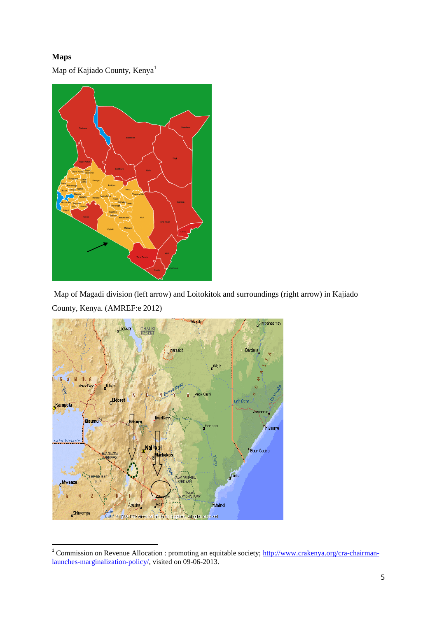## **Maps**

Map of Kajiado County, Kenya<sup>1</sup>



Map of Magadi division (left arrow) and Loitokitok and surroundings (right arrow) in Kajiado County, Kenya. (AMREF:e 2012)



 1 Commission on Revenue Allocation : promoting an equitable society; [http://www.crakenya.org/cra-chairman](http://www.crakenya.org/cra-chairman-launches-marginalization-policy/)[launches-marginalization-policy/,](http://www.crakenya.org/cra-chairman-launches-marginalization-policy/) visited on 09-06-2013.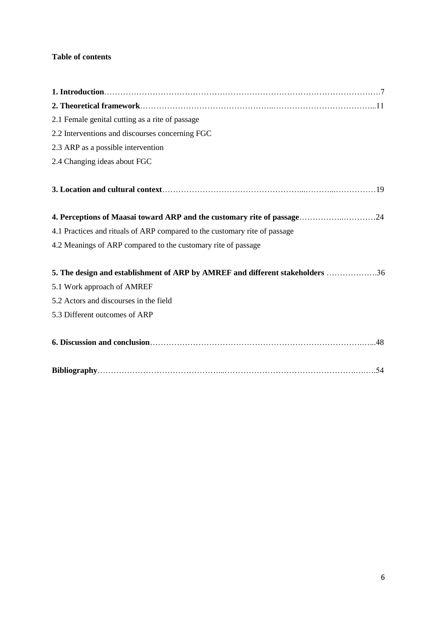## **Table of contents**

| 2.1 Female genital cutting as a rite of passage                               |
|-------------------------------------------------------------------------------|
| 2.2 Interventions and discourses concerning FGC                               |
| 2.3 ARP as a possible intervention                                            |
| 2.4 Changing ideas about FGC                                                  |
|                                                                               |
| 4. Perceptions of Maasai toward ARP and the customary rite of passage24       |
| 4.1 Practices and rituals of ARP compared to the customary rite of passage    |
| 4.2 Meanings of ARP compared to the customary rite of passage                 |
| 5. The design and establishment of ARP by AMREF and different stakeholders 36 |
| 5.1 Work approach of AMREF                                                    |
| 5.2 Actors and discourses in the field                                        |
| 5.3 Different outcomes of ARP                                                 |
|                                                                               |
|                                                                               |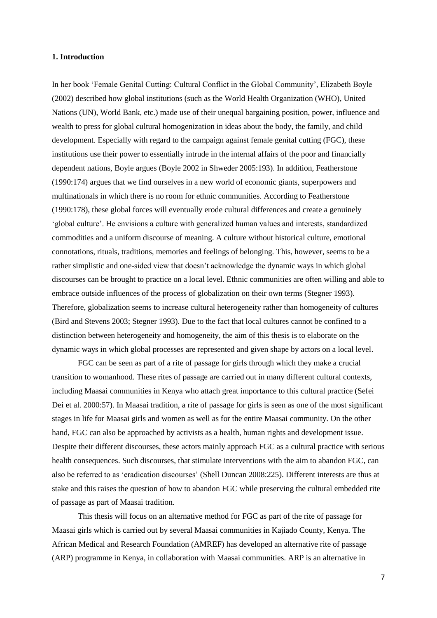#### **1. Introduction**

In her book "Female Genital Cutting: Cultural Conflict in the Global Community", Elizabeth Boyle (2002) described how global institutions (such as the World Health Organization (WHO), United Nations (UN), World Bank, etc.) made use of their unequal bargaining position, power, influence and wealth to press for global cultural homogenization in ideas about the body, the family, and child development. Especially with regard to the campaign against female genital cutting (FGC), these institutions use their power to essentially intrude in the internal affairs of the poor and financially dependent nations, Boyle argues (Boyle 2002 in Shweder 2005:193). In addition, Featherstone (1990:174) argues that we find ourselves in a new world of economic giants, superpowers and multinationals in which there is no room for ethnic communities. According to Featherstone (1990:178), these global forces will eventually erode cultural differences and create a genuinely "global culture". He envisions a culture with generalized human values and interests, standardized commodities and a uniform discourse of meaning. A culture without historical culture, emotional connotations, rituals, traditions, memories and feelings of belonging. This, however, seems to be a rather simplistic and one-sided view that doesn"t acknowledge the dynamic ways in which global discourses can be brought to practice on a local level. Ethnic communities are often willing and able to embrace outside influences of the process of globalization on their own terms (Stegner 1993). Therefore, globalization seems to increase cultural heterogeneity rather than homogeneity of cultures (Bird and Stevens 2003; Stegner 1993). Due to the fact that local cultures cannot be confined to a distinction between heterogeneity and homogeneity, the aim of this thesis is to elaborate on the dynamic ways in which global processes are represented and given shape by actors on a local level.

FGC can be seen as part of a rite of passage for girls through which they make a crucial transition to womanhood. These rites of passage are carried out in many different cultural contexts, including Maasai communities in Kenya who attach great importance to this cultural practice (Sefei Dei et al. 2000:57). In Maasai tradition, a rite of passage for girls is seen as one of the most significant stages in life for Maasai girls and women as well as for the entire Maasai community. On the other hand, FGC can also be approached by activists as a health, human rights and development issue. Despite their different discourses, these actors mainly approach FGC as a cultural practice with serious health consequences. Such discourses, that stimulate interventions with the aim to abandon FGC, can also be referred to as "eradication discourses" (Shell Duncan 2008:225). Different interests are thus at stake and this raises the question of how to abandon FGC while preserving the cultural embedded rite of passage as part of Maasai tradition.

This thesis will focus on an alternative method for FGC as part of the rite of passage for Maasai girls which is carried out by several Maasai communities in Kajiado County, Kenya. The African Medical and Research Foundation (AMREF) has developed an alternative rite of passage (ARP) programme in Kenya, in collaboration with Maasai communities. ARP is an alternative in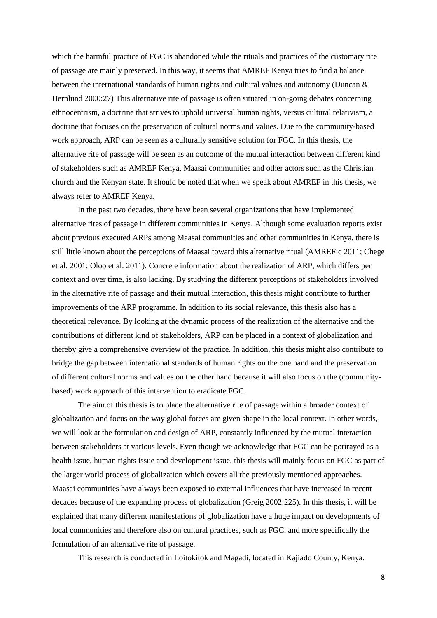which the harmful practice of FGC is abandoned while the rituals and practices of the customary rite of passage are mainly preserved. In this way, it seems that AMREF Kenya tries to find a balance between the international standards of human rights and cultural values and autonomy (Duncan & Hernlund 2000:27) This alternative rite of passage is often situated in on-going debates concerning ethnocentrism, a doctrine that strives to uphold universal human rights, versus cultural relativism, a doctrine that focuses on the preservation of cultural norms and values. Due to the community-based work approach, ARP can be seen as a culturally sensitive solution for FGC. In this thesis, the alternative rite of passage will be seen as an outcome of the mutual interaction between different kind of stakeholders such as AMREF Kenya, Maasai communities and other actors such as the Christian church and the Kenyan state. It should be noted that when we speak about AMREF in this thesis, we always refer to AMREF Kenya.

In the past two decades, there have been several organizations that have implemented alternative rites of passage in different communities in Kenya. Although some evaluation reports exist about previous executed ARPs among Maasai communities and other communities in Kenya, there is still little known about the perceptions of Maasai toward this alternative ritual (AMREF:c 2011; Chege et al. 2001; Oloo et al. 2011). Concrete information about the realization of ARP, which differs per context and over time, is also lacking. By studying the different perceptions of stakeholders involved in the alternative rite of passage and their mutual interaction, this thesis might contribute to further improvements of the ARP programme. In addition to its social relevance, this thesis also has a theoretical relevance. By looking at the dynamic process of the realization of the alternative and the contributions of different kind of stakeholders, ARP can be placed in a context of globalization and thereby give a comprehensive overview of the practice. In addition, this thesis might also contribute to bridge the gap between international standards of human rights on the one hand and the preservation of different cultural norms and values on the other hand because it will also focus on the (communitybased) work approach of this intervention to eradicate FGC.

The aim of this thesis is to place the alternative rite of passage within a broader context of globalization and focus on the way global forces are given shape in the local context. In other words, we will look at the formulation and design of ARP, constantly influenced by the mutual interaction between stakeholders at various levels. Even though we acknowledge that FGC can be portrayed as a health issue, human rights issue and development issue, this thesis will mainly focus on FGC as part of the larger world process of globalization which covers all the previously mentioned approaches. Maasai communities have always been exposed to external influences that have increased in recent decades because of the expanding process of globalization (Greig 2002:225). In this thesis, it will be explained that many different manifestations of globalization have a huge impact on developments of local communities and therefore also on cultural practices, such as FGC, and more specifically the formulation of an alternative rite of passage.

This research is conducted in Loitokitok and Magadi, located in Kajiado County, Kenya.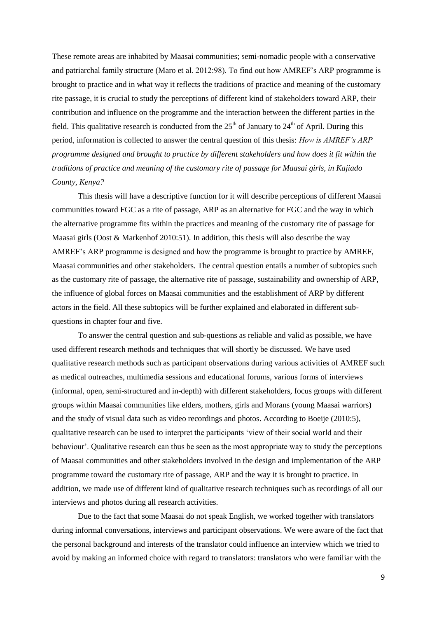These remote areas are inhabited by Maasai communities; semi-nomadic people with a conservative and patriarchal family structure (Maro et al. 2012:98). To find out how AMREF"s ARP programme is brought to practice and in what way it reflects the traditions of practice and meaning of the customary rite passage, it is crucial to study the perceptions of different kind of stakeholders toward ARP, their contribution and influence on the programme and the interaction between the different parties in the field. This qualitative research is conducted from the  $25<sup>th</sup>$  of January to  $24<sup>th</sup>$  of April. During this period, information is collected to answer the central question of this thesis: *How is AMREF"s ARP programme designed and brought to practice by different stakeholders and how does it fit within the traditions of practice and meaning of the customary rite of passage for Maasai girls, in Kajiado County, Kenya?* 

This thesis will have a descriptive function for it will describe perceptions of different Maasai communities toward FGC as a rite of passage, ARP as an alternative for FGC and the way in which the alternative programme fits within the practices and meaning of the customary rite of passage for Maasai girls (Oost & Markenhof 2010:51). In addition, this thesis will also describe the way AMREF"s ARP programme is designed and how the programme is brought to practice by AMREF, Maasai communities and other stakeholders. The central question entails a number of subtopics such as the customary rite of passage, the alternative rite of passage, sustainability and ownership of ARP, the influence of global forces on Maasai communities and the establishment of ARP by different actors in the field. All these subtopics will be further explained and elaborated in different subquestions in chapter four and five.

To answer the central question and sub-questions as reliable and valid as possible, we have used different research methods and techniques that will shortly be discussed. We have used qualitative research methods such as participant observations during various activities of AMREF such as medical outreaches, multimedia sessions and educational forums, various forms of interviews (informal, open, semi-structured and in-depth) with different stakeholders, focus groups with different groups within Maasai communities like elders, mothers, girls and Morans (young Maasai warriors) and the study of visual data such as video recordings and photos. According to Boeije (2010:5), qualitative research can be used to interpret the participants "view of their social world and their behaviour". Qualitative research can thus be seen as the most appropriate way to study the perceptions of Maasai communities and other stakeholders involved in the design and implementation of the ARP programme toward the customary rite of passage, ARP and the way it is brought to practice. In addition, we made use of different kind of qualitative research techniques such as recordings of all our interviews and photos during all research activities.

Due to the fact that some Maasai do not speak English, we worked together with translators during informal conversations, interviews and participant observations. We were aware of the fact that the personal background and interests of the translator could influence an interview which we tried to avoid by making an informed choice with regard to translators: translators who were familiar with the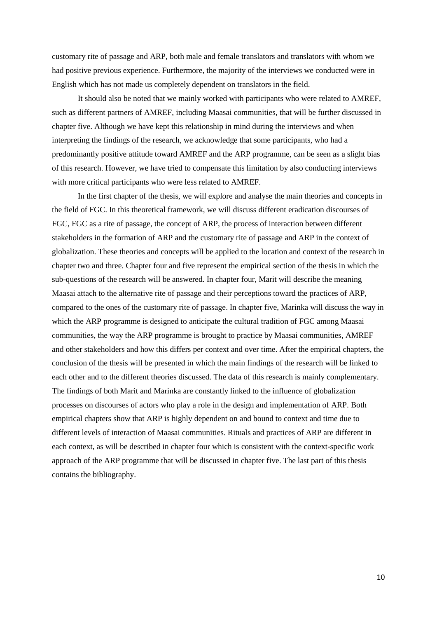customary rite of passage and ARP, both male and female translators and translators with whom we had positive previous experience. Furthermore, the majority of the interviews we conducted were in English which has not made us completely dependent on translators in the field.

It should also be noted that we mainly worked with participants who were related to AMREF, such as different partners of AMREF, including Maasai communities, that will be further discussed in chapter five. Although we have kept this relationship in mind during the interviews and when interpreting the findings of the research, we acknowledge that some participants, who had a predominantly positive attitude toward AMREF and the ARP programme, can be seen as a slight bias of this research. However, we have tried to compensate this limitation by also conducting interviews with more critical participants who were less related to AMREF.

In the first chapter of the thesis, we will explore and analyse the main theories and concepts in the field of FGC. In this theoretical framework, we will discuss different eradication discourses of FGC, FGC as a rite of passage, the concept of ARP, the process of interaction between different stakeholders in the formation of ARP and the customary rite of passage and ARP in the context of globalization. These theories and concepts will be applied to the location and context of the research in chapter two and three. Chapter four and five represent the empirical section of the thesis in which the sub-questions of the research will be answered. In chapter four, Marit will describe the meaning Maasai attach to the alternative rite of passage and their perceptions toward the practices of ARP, compared to the ones of the customary rite of passage. In chapter five, Marinka will discuss the way in which the ARP programme is designed to anticipate the cultural tradition of FGC among Maasai communities, the way the ARP programme is brought to practice by Maasai communities, AMREF and other stakeholders and how this differs per context and over time. After the empirical chapters, the conclusion of the thesis will be presented in which the main findings of the research will be linked to each other and to the different theories discussed. The data of this research is mainly complementary. The findings of both Marit and Marinka are constantly linked to the influence of globalization processes on discourses of actors who play a role in the design and implementation of ARP. Both empirical chapters show that ARP is highly dependent on and bound to context and time due to different levels of interaction of Maasai communities. Rituals and practices of ARP are different in each context, as will be described in chapter four which is consistent with the context-specific work approach of the ARP programme that will be discussed in chapter five. The last part of this thesis contains the bibliography.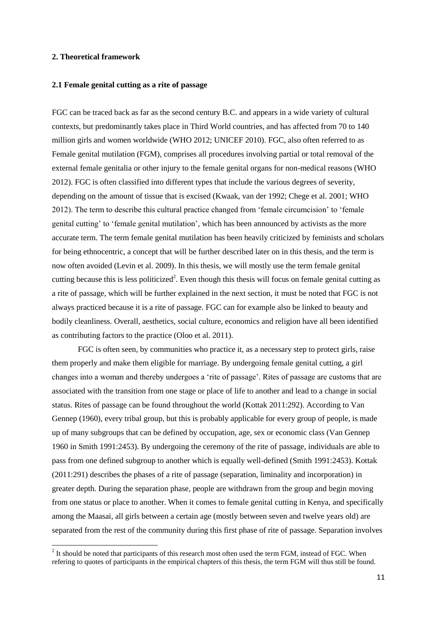## **2. Theoretical framework**

**.** 

#### **2.1 Female genital cutting as a rite of passage**

FGC can be traced back as far as the second century B.C. and appears in a wide variety of cultural contexts, but predominantly takes place in Third World countries, and has affected from 70 to 140 million girls and women worldwide (WHO 2012; UNICEF 2010). FGC, also often referred to as Female genital mutilation (FGM), comprises all procedures involving partial or total removal of the external female genitalia or other injury to the female genital organs for non-medical reasons (WHO 2012). FGC is often classified into different types that include the various degrees of severity, depending on the amount of tissue that is excised (Kwaak, van der 1992; Chege et al. 2001; WHO 2012). The term to describe this cultural practice changed from "female circumcision" to "female genital cutting" to "female genital mutilation", which has been announced by activists as the more accurate term. The term female genital mutilation has been heavily criticized by feminists and scholars for being ethnocentric, a concept that will be further described later on in this thesis, and the term is now often avoided (Levin et al. 2009). In this thesis, we will mostly use the term female genital cutting because this is less politicized<sup>2</sup>. Even though this thesis will focus on female genital cutting as a rite of passage, which will be further explained in the next section, it must be noted that FGC is not always practiced because it is a rite of passage. FGC can for example also be linked to beauty and bodily cleanliness. Overall, aesthetics, social culture, economics and religion have all been identified as contributing factors to the practice (Oloo et al. 2011).

FGC is often seen, by communities who practice it, as a necessary step to protect girls, raise them properly and make them eligible for marriage. By undergoing female genital cutting, a girl changes into a woman and thereby undergoes a "rite of passage". Rites of passage are customs that are associated with the transition from one stage or place of life to another and lead to a change in social status. Rites of passage can be found throughout the world (Kottak 2011:292). According to Van Gennep (1960), every tribal group, but this is probably applicable for every group of people, is made up of many subgroups that can be defined by occupation, age, sex or economic class (Van Gennep 1960 in Smith 1991:2453). By undergoing the ceremony of the rite of passage, individuals are able to pass from one defined subgroup to another which is equally well-defined (Smith 1991:2453). Kottak (2011:291) describes the phases of a rite of passage (separation, liminality and incorporation) in greater depth. During the separation phase, people are withdrawn from the group and begin moving from one status or place to another. When it comes to female genital cutting in Kenya, and specifically among the Maasai, all girls between a certain age (mostly between seven and twelve years old) are separated from the rest of the community during this first phase of rite of passage. Separation involves

 $2$  It should be noted that participants of this research most often used the term FGM, instead of FGC. When refering to quotes of participants in the empirical chapters of this thesis, the term FGM will thus still be found.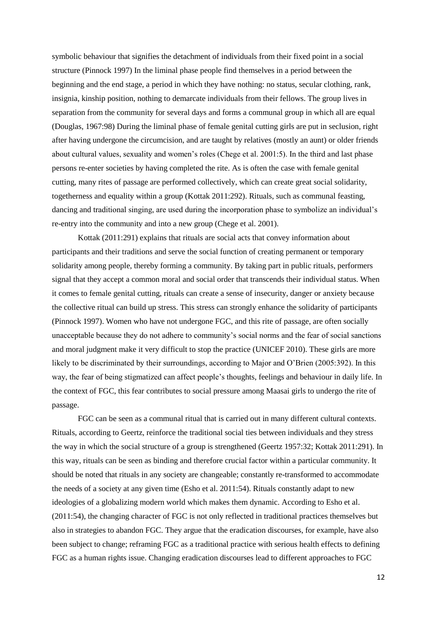symbolic behaviour that signifies the detachment of individuals from their fixed point in a social structure (Pinnock 1997) In the liminal phase people find themselves in a period between the beginning and the end stage, a period in which they have nothing: no status, secular clothing, rank, insignia, kinship position, nothing to demarcate individuals from their fellows. The group lives in separation from the community for several days and forms a communal group in which all are equal (Douglas, 1967:98) During the liminal phase of female genital cutting girls are put in seclusion, right after having undergone the circumcision, and are taught by relatives (mostly an aunt) or older friends about cultural values, sexuality and women's roles (Chege et al. 2001:5). In the third and last phase persons re-enter societies by having completed the rite. As is often the case with female genital cutting, many rites of passage are performed collectively, which can create great social solidarity, togetherness and equality within a group (Kottak 2011:292). Rituals, such as communal feasting, dancing and traditional singing, are used during the incorporation phase to symbolize an individual's re-entry into the community and into a new group (Chege et al. 2001).

Kottak (2011:291) explains that rituals are social acts that convey information about participants and their traditions and serve the social function of creating permanent or temporary solidarity among people, thereby forming a community. By taking part in public rituals, performers signal that they accept a common moral and social order that transcends their individual status. When it comes to female genital cutting, rituals can create a sense of insecurity, danger or anxiety because the collective ritual can build up stress. This stress can strongly enhance the solidarity of participants (Pinnock 1997). Women who have not undergone FGC, and this rite of passage, are often socially unacceptable because they do not adhere to community"s social norms and the fear of social sanctions and moral judgment make it very difficult to stop the practice (UNICEF 2010). These girls are more likely to be discriminated by their surroundings, according to Major and O"Brien (2005:392). In this way, the fear of being stigmatized can affect people"s thoughts, feelings and behaviour in daily life. In the context of FGC, this fear contributes to social pressure among Maasai girls to undergo the rite of passage.

FGC can be seen as a communal ritual that is carried out in many different cultural contexts. Rituals, according to Geertz, reinforce the traditional social ties between individuals and they stress the way in which the social structure of a group is strengthened (Geertz 1957:32; Kottak 2011:291). In this way, rituals can be seen as binding and therefore crucial factor within a particular community. It should be noted that rituals in any society are changeable; constantly re-transformed to accommodate the needs of a society at any given time (Esho et al. 2011:54). Rituals constantly adapt to new ideologies of a globalizing modern world which makes them dynamic. According to Esho et al. (2011:54), the changing character of FGC is not only reflected in traditional practices themselves but also in strategies to abandon FGC. They argue that the eradication discourses, for example, have also been subject to change; reframing FGC as a traditional practice with serious health effects to defining FGC as a human rights issue. Changing eradication discourses lead to different approaches to FGC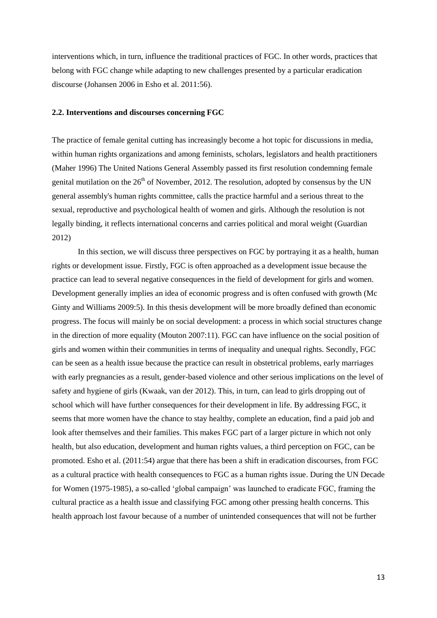interventions which, in turn, influence the traditional practices of FGC. In other words, practices that belong with FGC change while adapting to new challenges presented by a particular eradication discourse (Johansen 2006 in Esho et al. 2011:56).

#### **2.2. Interventions and discourses concerning FGC**

The practice of female genital cutting has increasingly become a hot topic for discussions in media, within human rights organizations and among feminists, scholars, legislators and health practitioners (Maher 1996) The United Nations General Assembly passed its first resolution condemning female genital mutilation on the  $26<sup>th</sup>$  of November, 2012. The resolution, adopted by consensus by the UN general assembly's human rights committee, calls the practice harmful and a serious threat to the sexual, reproductive and psychological health of women and girls. Although the resolution is not legally binding, it reflects international concerns and carries political and moral weight (Guardian 2012)

In this section, we will discuss three perspectives on FGC by portraying it as a health, human rights or development issue. Firstly, FGC is often approached as a development issue because the practice can lead to several negative consequences in the field of development for girls and women. Development generally implies an idea of economic progress and is often confused with growth (Mc Ginty and Williams 2009:5). In this thesis development will be more broadly defined than economic progress. The focus will mainly be on social development: a process in which social structures change in the direction of more equality (Mouton 2007:11). FGC can have influence on the social position of girls and women within their communities in terms of inequality and unequal rights. Secondly, FGC can be seen as a health issue because the practice can result in obstetrical problems, early marriages with early pregnancies as a result, gender-based violence and other serious implications on the level of safety and hygiene of girls (Kwaak, van der 2012). This, in turn, can lead to girls dropping out of school which will have further consequences for their development in life. By addressing FGC, it seems that more women have the chance to stay healthy, complete an education, find a paid job and look after themselves and their families. This makes FGC part of a larger picture in which not only health, but also education, development and human rights values, a third perception on FGC, can be promoted. Esho et al. (2011:54) argue that there has been a shift in eradication discourses, from FGC as a cultural practice with health consequences to FGC as a human rights issue. During the UN Decade for Women (1975-1985), a so-called "global campaign" was launched to eradicate FGC, framing the cultural practice as a health issue and classifying FGC among other pressing health concerns. This health approach lost favour because of a number of unintended consequences that will not be further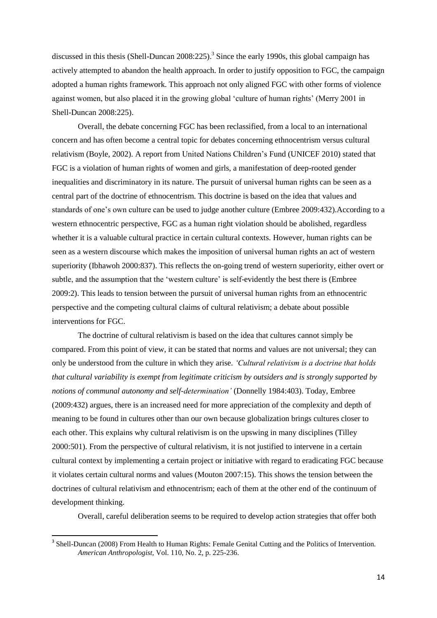discussed in this thesis (Shell-Duncan 2008:225).<sup>3</sup> Since the early 1990s, this global campaign has actively attempted to abandon the health approach. In order to justify opposition to FGC, the campaign adopted a human rights framework. This approach not only aligned FGC with other forms of violence against women, but also placed it in the growing global "culture of human rights" (Merry 2001 in Shell-Duncan 2008:225).

Overall, the debate concerning FGC has been reclassified, from a local to an international concern and has often become a central topic for debates concerning ethnocentrism versus cultural relativism (Boyle, 2002). A report from United Nations Children"s Fund (UNICEF 2010) stated that FGC is a violation of human rights of women and girls, a manifestation of deep-rooted gender inequalities and discriminatory in its nature. The pursuit of universal human rights can be seen as a central part of the doctrine of ethnocentrism. This doctrine is based on the idea that values and standards of one"s own culture can be used to judge another culture (Embree 2009:432).According to a western ethnocentric perspective, FGC as a human right violation should be abolished, regardless whether it is a valuable cultural practice in certain cultural contexts. However, human rights can be seen as a western discourse which makes the imposition of universal human rights an act of western superiority (Ibhawoh 2000:837). This reflects the on-going trend of western superiority, either overt or subtle, and the assumption that the 'western culture' is self-evidently the best there is (Embree 2009:2). This leads to tension between the pursuit of universal human rights from an ethnocentric perspective and the competing cultural claims of cultural relativism; a debate about possible interventions for FGC.

The doctrine of cultural relativism is based on the idea that cultures cannot simply be compared. From this point of view, it can be stated that norms and values are not universal; they can only be understood from the culture in which they arise. *"Cultural relativism is a doctrine that holds that cultural variability is exempt from legitimate criticism by outsiders and is strongly supported by notions of communal autonomy and self-determination"* (Donnelly 1984:403). Today, Embree (2009:432) argues, there is an increased need for more appreciation of the complexity and depth of meaning to be found in cultures other than our own because globalization brings cultures closer to each other. This explains why cultural relativism is on the upswing in many disciplines (Tilley 2000:501). From the perspective of cultural relativism, it is not justified to intervene in a certain cultural context by implementing a certain project or initiative with regard to eradicating FGC because it violates certain cultural norms and values (Mouton 2007:15). This shows the tension between the doctrines of cultural relativism and ethnocentrism; each of them at the other end of the continuum of development thinking.

Overall, careful deliberation seems to be required to develop action strategies that offer both

 $\overline{a}$ 

<sup>&</sup>lt;sup>3</sup> Shell-Duncan (2008) From Health to Human Rights: Female Genital Cutting and the Politics of Intervention. *American Anthropologist,* Vol. 110, No. 2, p. 225-236.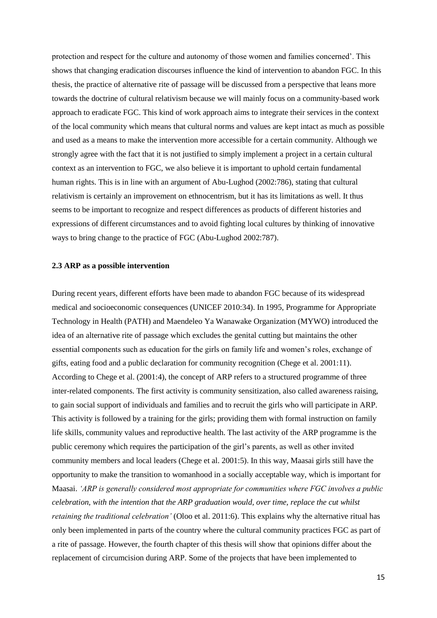protection and respect for the culture and autonomy of those women and families concerned". This shows that changing eradication discourses influence the kind of intervention to abandon FGC. In this thesis, the practice of alternative rite of passage will be discussed from a perspective that leans more towards the doctrine of cultural relativism because we will mainly focus on a community-based work approach to eradicate FGC. This kind of work approach aims to integrate their services in the context of the local community which means that cultural norms and values are kept intact as much as possible and used as a means to make the intervention more accessible for a certain community. Although we strongly agree with the fact that it is not justified to simply implement a project in a certain cultural context as an intervention to FGC, we also believe it is important to uphold certain fundamental human rights. This is in line with an argument of Abu-Lughod (2002:786), stating that cultural relativism is certainly an improvement on ethnocentrism, but it has its limitations as well. It thus seems to be important to recognize and respect differences as products of different histories and expressions of different circumstances and to avoid fighting local cultures by thinking of innovative ways to bring change to the practice of FGC (Abu-Lughod 2002:787).

#### **2.3 ARP as a possible intervention**

During recent years, different efforts have been made to abandon FGC because of its widespread medical and socioeconomic consequences (UNICEF 2010:34). In 1995, Programme for Appropriate Technology in Health (PATH) and Maendeleo Ya Wanawake Organization (MYWO) introduced the idea of an alternative rite of passage which excludes the genital cutting but maintains the other essential components such as education for the girls on family life and women"s roles, exchange of gifts, eating food and a public declaration for community recognition (Chege et al. 2001:11). According to Chege et al. (2001:4), the concept of ARP refers to a structured programme of three inter-related components. The first activity is community sensitization, also called awareness raising, to gain social support of individuals and families and to recruit the girls who will participate in ARP. This activity is followed by a training for the girls; providing them with formal instruction on family life skills, community values and reproductive health. The last activity of the ARP programme is the public ceremony which requires the participation of the girl"s parents, as well as other invited community members and local leaders (Chege et al. 2001:5). In this way, Maasai girls still have the opportunity to make the transition to womanhood in a socially acceptable way, which is important for Maasai. *"ARP is generally considered most appropriate for communities where FGC involves a public celebration, with the intention that the ARP graduation would, over time, replace the cut whilst retaining the traditional celebration'* (Oloo et al. 2011:6). This explains why the alternative ritual has only been implemented in parts of the country where the cultural community practices FGC as part of a rite of passage. However, the fourth chapter of this thesis will show that opinions differ about the replacement of circumcision during ARP. Some of the projects that have been implemented to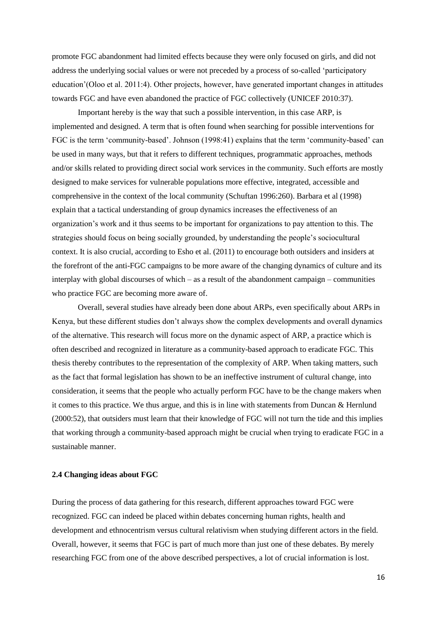promote FGC abandonment had limited effects because they were only focused on girls, and did not address the underlying social values or were not preceded by a process of so-called "participatory education"(Oloo et al. 2011:4). Other projects, however, have generated important changes in attitudes towards FGC and have even abandoned the practice of FGC collectively (UNICEF 2010:37).

Important hereby is the way that such a possible intervention, in this case ARP, is implemented and designed. A term that is often found when searching for possible interventions for FGC is the term "community-based". Johnson (1998:41) explains that the term "community-based" can be used in many ways, but that it refers to different techniques, programmatic approaches, methods and/or skills related to providing direct social work services in the community. Such efforts are mostly designed to make services for vulnerable populations more effective, integrated, accessible and comprehensive in the context of the local community (Schuftan 1996:260). Barbara et al (1998) explain that a tactical understanding of group dynamics increases the effectiveness of an organization"s work and it thus seems to be important for organizations to pay attention to this. The strategies should focus on being socially grounded, by understanding the people's sociocultural context. It is also crucial, according to Esho et al. (2011) to encourage both outsiders and insiders at the forefront of the anti-FGC campaigns to be more aware of the changing dynamics of culture and its interplay with global discourses of which – as a result of the abandonment campaign – communities who practice FGC are becoming more aware of.

Overall, several studies have already been done about ARPs, even specifically about ARPs in Kenya, but these different studies don"t always show the complex developments and overall dynamics of the alternative. This research will focus more on the dynamic aspect of ARP, a practice which is often described and recognized in literature as a community-based approach to eradicate FGC. This thesis thereby contributes to the representation of the complexity of ARP. When taking matters, such as the fact that formal legislation has shown to be an ineffective instrument of cultural change, into consideration, it seems that the people who actually perform FGC have to be the change makers when it comes to this practice. We thus argue, and this is in line with statements from Duncan & Hernlund (2000:52), that outsiders must learn that their knowledge of FGC will not turn the tide and this implies that working through a community-based approach might be crucial when trying to eradicate FGC in a sustainable manner.

## **2.4 Changing ideas about FGC**

During the process of data gathering for this research, different approaches toward FGC were recognized. FGC can indeed be placed within debates concerning human rights, health and development and ethnocentrism versus cultural relativism when studying different actors in the field. Overall, however, it seems that FGC is part of much more than just one of these debates. By merely researching FGC from one of the above described perspectives, a lot of crucial information is lost.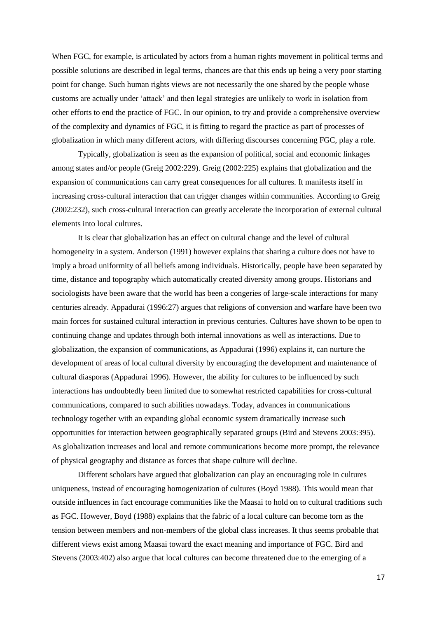When FGC, for example, is articulated by actors from a human rights movement in political terms and possible solutions are described in legal terms, chances are that this ends up being a very poor starting point for change. Such human rights views are not necessarily the one shared by the people whose customs are actually under "attack" and then legal strategies are unlikely to work in isolation from other efforts to end the practice of FGC. In our opinion, to try and provide a comprehensive overview of the complexity and dynamics of FGC, it is fitting to regard the practice as part of processes of globalization in which many different actors, with differing discourses concerning FGC, play a role.

Typically, globalization is seen as the expansion of political, social and economic linkages among states and/or people (Greig 2002:229). Greig (2002:225) explains that globalization and the expansion of communications can carry great consequences for all cultures. It manifests itself in increasing cross-cultural interaction that can trigger changes within communities. According to Greig (2002:232), such cross-cultural interaction can greatly accelerate the incorporation of external cultural elements into local cultures.

It is clear that globalization has an effect on cultural change and the level of cultural homogeneity in a system. Anderson (1991) however explains that sharing a culture does not have to imply a broad uniformity of all beliefs among individuals. Historically, people have been separated by time, distance and topography which automatically created diversity among groups. Historians and sociologists have been aware that the world has been a congeries of large-scale interactions for many centuries already. Appadurai (1996:27) argues that religions of conversion and warfare have been two main forces for sustained cultural interaction in previous centuries. Cultures have shown to be open to continuing change and updates through both internal innovations as well as interactions. Due to globalization, the expansion of communications, as Appadurai (1996) explains it, can nurture the development of areas of local cultural diversity by encouraging the development and maintenance of cultural diasporas (Appadurai 1996). However, the ability for cultures to be influenced by such interactions has undoubtedly been limited due to somewhat restricted capabilities for cross-cultural communications, compared to such abilities nowadays. Today, advances in communications technology together with an expanding global economic system dramatically increase such opportunities for interaction between geographically separated groups (Bird and Stevens 2003:395). As globalization increases and local and remote communications become more prompt, the relevance of physical geography and distance as forces that shape culture will decline.

Different scholars have argued that globalization can play an encouraging role in cultures uniqueness, instead of encouraging homogenization of cultures (Boyd 1988). This would mean that outside influences in fact encourage communities like the Maasai to hold on to cultural traditions such as FGC. However, Boyd (1988) explains that the fabric of a local culture can become torn as the tension between members and non-members of the global class increases. It thus seems probable that different views exist among Maasai toward the exact meaning and importance of FGC. Bird and Stevens (2003:402) also argue that local cultures can become threatened due to the emerging of a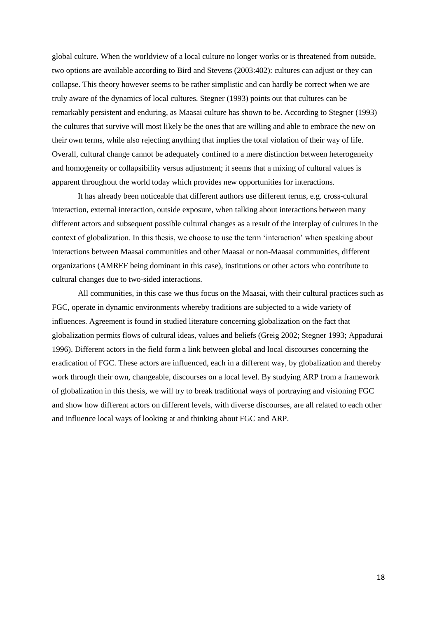global culture. When the worldview of a local culture no longer works or is threatened from outside, two options are available according to Bird and Stevens (2003:402): cultures can adjust or they can collapse. This theory however seems to be rather simplistic and can hardly be correct when we are truly aware of the dynamics of local cultures. Stegner (1993) points out that cultures can be remarkably persistent and enduring, as Maasai culture has shown to be. According to Stegner (1993) the cultures that survive will most likely be the ones that are willing and able to embrace the new on their own terms, while also rejecting anything that implies the total violation of their way of life. Overall, cultural change cannot be adequately confined to a mere distinction between heterogeneity and homogeneity or collapsibility versus adjustment; it seems that a mixing of cultural values is apparent throughout the world today which provides new opportunities for interactions.

It has already been noticeable that different authors use different terms, e.g. cross-cultural interaction, external interaction, outside exposure, when talking about interactions between many different actors and subsequent possible cultural changes as a result of the interplay of cultures in the context of globalization. In this thesis, we choose to use the term "interaction" when speaking about interactions between Maasai communities and other Maasai or non-Maasai communities, different organizations (AMREF being dominant in this case), institutions or other actors who contribute to cultural changes due to two-sided interactions.

All communities, in this case we thus focus on the Maasai, with their cultural practices such as FGC, operate in dynamic environments whereby traditions are subjected to a wide variety of influences. Agreement is found in studied literature concerning globalization on the fact that globalization permits flows of cultural ideas, values and beliefs (Greig 2002; Stegner 1993; Appadurai 1996). Different actors in the field form a link between global and local discourses concerning the eradication of FGC. These actors are influenced, each in a different way, by globalization and thereby work through their own, changeable, discourses on a local level. By studying ARP from a framework of globalization in this thesis, we will try to break traditional ways of portraying and visioning FGC and show how different actors on different levels, with diverse discourses, are all related to each other and influence local ways of looking at and thinking about FGC and ARP.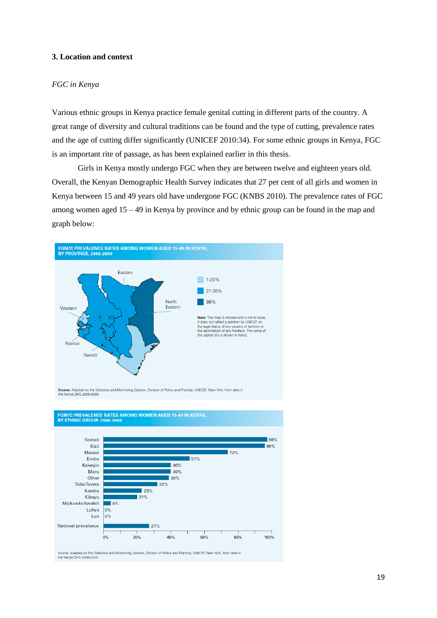## **3. Location and context**

#### *FGC in Kenya*

Various ethnic groups in Kenya practice female genital cutting in different parts of the country. A great range of diversity and cultural traditions can be found and the type of cutting, prevalence rates and the age of cutting differ significantly (UNICEF 2010:34). For some ethnic groups in Kenya, FGC is an important rite of passage, as has been explained earlier in this thesis.

Girls in Kenya mostly undergo FGC when they are between twelve and eighteen years old. Overall, the Kenyan Demographic Health Survey indicates that 27 per cent of all girls and women in Kenya between 15 and 49 years old have undergone FGC (KNBS 2010). The prevalence rates of FGC among women aged 15 – 49 in Kenya by province and by ethnic group can be found in the map and graph below:





the Kenya DHS 2008-2009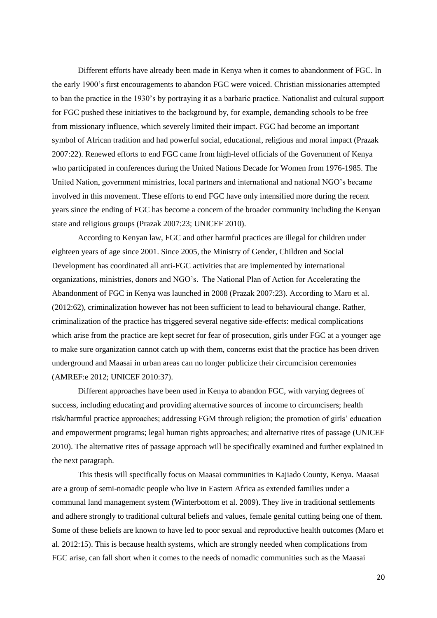Different efforts have already been made in Kenya when it comes to abandonment of FGC. In the early 1900"s first encouragements to abandon FGC were voiced. Christian missionaries attempted to ban the practice in the 1930"s by portraying it as a barbaric practice. Nationalist and cultural support for FGC pushed these initiatives to the background by, for example, demanding schools to be free from missionary influence, which severely limited their impact. FGC had become an important symbol of African tradition and had powerful social, educational, religious and moral impact (Prazak 2007:22). Renewed efforts to end FGC came from high-level officials of the Government of Kenya who participated in conferences during the United Nations Decade for Women from 1976-1985. The United Nation, government ministries, local partners and international and national NGO"s became involved in this movement. These efforts to end FGC have only intensified more during the recent years since the ending of FGC has become a concern of the broader community including the Kenyan state and religious groups (Prazak 2007:23; UNICEF 2010).

According to Kenyan law, FGC and other harmful practices are illegal for children under eighteen years of age since 2001. Since 2005, the Ministry of Gender, Children and Social Development has coordinated all anti-FGC activities that are implemented by international organizations, ministries, donors and NGO"s. The National Plan of Action for Accelerating the Abandonment of FGC in Kenya was launched in 2008 (Prazak 2007:23). According to Maro et al. (2012:62), criminalization however has not been sufficient to lead to behavioural change. Rather, criminalization of the practice has triggered several negative side-effects: medical complications which arise from the practice are kept secret for fear of prosecution, girls under FGC at a younger age to make sure organization cannot catch up with them, concerns exist that the practice has been driven underground and Maasai in urban areas can no longer publicize their circumcision ceremonies (AMREF:e 2012; UNICEF 2010:37).

Different approaches have been used in Kenya to abandon FGC, with varying degrees of success, including educating and providing alternative sources of income to circumcisers; health risk/harmful practice approaches; addressing FGM through religion; the promotion of girls" education and empowerment programs; legal human rights approaches; and alternative rites of passage (UNICEF 2010). The alternative rites of passage approach will be specifically examined and further explained in the next paragraph.

This thesis will specifically focus on Maasai communities in Kajiado County, Kenya. Maasai are a group of semi-nomadic people who live in Eastern Africa as extended families under a communal land management system (Winterbottom et al. 2009). They live in traditional settlements and adhere strongly to traditional cultural beliefs and values, female genital cutting being one of them. Some of these beliefs are known to have led to poor sexual and reproductive health outcomes (Maro et al. 2012:15). This is because health systems, which are strongly needed when complications from FGC arise, can fall short when it comes to the needs of nomadic communities such as the Maasai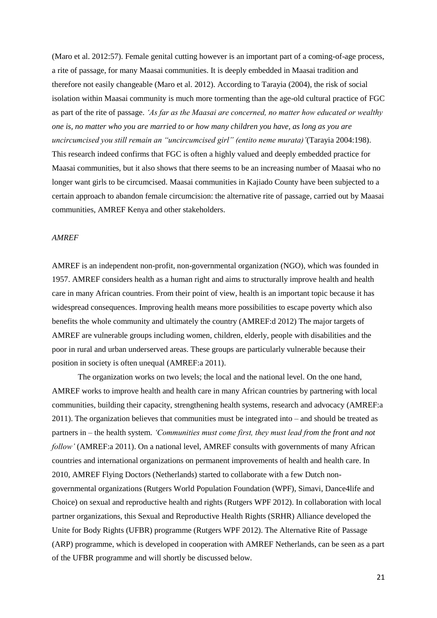(Maro et al. 2012:57). Female genital cutting however is an important part of a coming-of-age process, a rite of passage, for many Maasai communities. It is deeply embedded in Maasai tradition and therefore not easily changeable (Maro et al. 2012). According to Tarayia (2004), the risk of social isolation within Maasai community is much more tormenting than the age-old cultural practice of FGC as part of the rite of passage. *"As far as the Maasai are concerned, no matter how educated or wealthy one is, no matter who you are married to or how many children you have, as long as you are uncircumcised you still remain an "uncircumcised girl" (entito neme murata)"*(Tarayia 2004:198). This research indeed confirms that FGC is often a highly valued and deeply embedded practice for Maasai communities, but it also shows that there seems to be an increasing number of Maasai who no longer want girls to be circumcised. Maasai communities in Kajiado County have been subjected to a certain approach to abandon female circumcision: the alternative rite of passage, carried out by Maasai communities, AMREF Kenya and other stakeholders.

#### *AMREF*

AMREF is an independent non-profit, non-governmental organization (NGO), which was founded in 1957. AMREF considers health as a human right and aims to structurally improve health and health care in many African countries. From their point of view, health is an important topic because it has widespread consequences. Improving health means more possibilities to escape poverty which also benefits the whole community and ultimately the country (AMREF:d 2012) The major targets of AMREF are vulnerable groups including women, children, elderly, people with disabilities and the poor in rural and urban underserved areas. These groups are particularly vulnerable because their position in society is often unequal (AMREF:a 2011).

 The organization works on two levels; the local and the national level. On the one hand, AMREF works to improve health and health care in many African countries by partnering with local communities, building their capacity, strengthening health systems, research and advocacy (AMREF:a 2011). The organization believes that communities must be integrated into – and should be treated as partners in – the health system. *"Communities must come first, they must lead from the front and not follow"* (AMREF:a 2011). On a national level, AMREF consults with governments of many African countries and international organizations on permanent improvements of health and health care. In 2010, AMREF Flying Doctors (Netherlands) started to collaborate with a few Dutch nongovernmental organizations (Rutgers World Population Foundation (WPF), Simavi, Dance4life and Choice) on sexual and reproductive health and rights (Rutgers WPF 2012). In collaboration with local partner organizations, this Sexual and Reproductive Health Rights (SRHR) Alliance developed the Unite for Body Rights (UFBR) programme (Rutgers WPF 2012). The Alternative Rite of Passage (ARP) programme, which is developed in cooperation with AMREF Netherlands, can be seen as a part of the UFBR programme and will shortly be discussed below.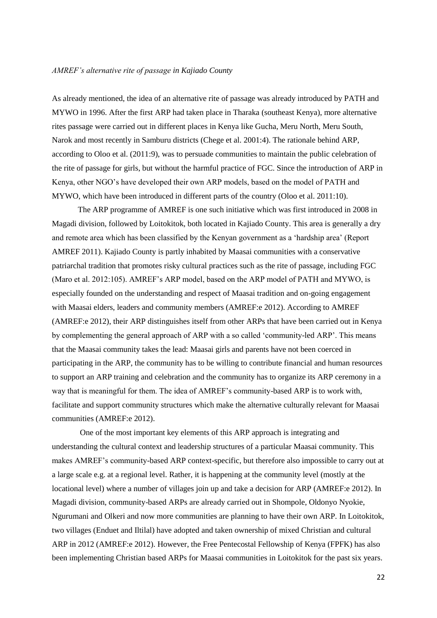#### *AMREF"s alternative rite of passage in Kajiado County*

As already mentioned, the idea of an alternative rite of passage was already introduced by PATH and MYWO in 1996. After the first ARP had taken place in Tharaka (southeast Kenya), more alternative rites passage were carried out in different places in Kenya like Gucha, Meru North, Meru South, Narok and most recently in Samburu districts (Chege et al. 2001:4). The rationale behind ARP, according to Oloo et al. (2011:9), was to persuade communities to maintain the public celebration of the rite of passage for girls, but without the harmful practice of FGC. Since the introduction of ARP in Kenya, other NGO"s have developed their own ARP models, based on the model of PATH and MYWO, which have been introduced in different parts of the country (Oloo et al. 2011:10).

The ARP programme of AMREF is one such initiative which was first introduced in 2008 in Magadi division, followed by Loitokitok, both located in Kajiado County. This area is generally a dry and remote area which has been classified by the Kenyan government as a "hardship area" (Report AMREF 2011). Kajiado County is partly inhabited by Maasai communities with a conservative patriarchal tradition that promotes risky cultural practices such as the rite of passage, including FGC (Maro et al. 2012:105). AMREF"s ARP model, based on the ARP model of PATH and MYWO, is especially founded on the understanding and respect of Maasai tradition and on-going engagement with Maasai elders, leaders and community members (AMREF: e 2012). According to AMREF (AMREF:e 2012), their ARP distinguishes itself from other ARPs that have been carried out in Kenya by complementing the general approach of ARP with a so called "community-led ARP". This means that the Maasai community takes the lead: Maasai girls and parents have not been coerced in participating in the ARP, the community has to be willing to contribute financial and human resources to support an ARP training and celebration and the community has to organize its ARP ceremony in a way that is meaningful for them. The idea of AMREF"s community-based ARP is to work with, facilitate and support community structures which make the alternative culturally relevant for Maasai communities (AMREF:e 2012).

One of the most important key elements of this ARP approach is integrating and understanding the cultural context and leadership structures of a particular Maasai community. This makes AMREF"s community-based ARP context-specific, but therefore also impossible to carry out at a large scale e.g. at a regional level. Rather, it is happening at the community level (mostly at the locational level) where a number of villages join up and take a decision for ARP (AMREF:e 2012). In Magadi division, community-based ARPs are already carried out in Shompole, Oldonyo Nyokie, Ngurumani and Olkeri and now more communities are planning to have their own ARP. In Loitokitok, two villages (Enduet and Iltilal) have adopted and taken ownership of mixed Christian and cultural ARP in 2012 (AMREF:e 2012). However, the Free Pentecostal Fellowship of Kenya (FPFK) has also been implementing Christian based ARPs for Maasai communities in Loitokitok for the past six years.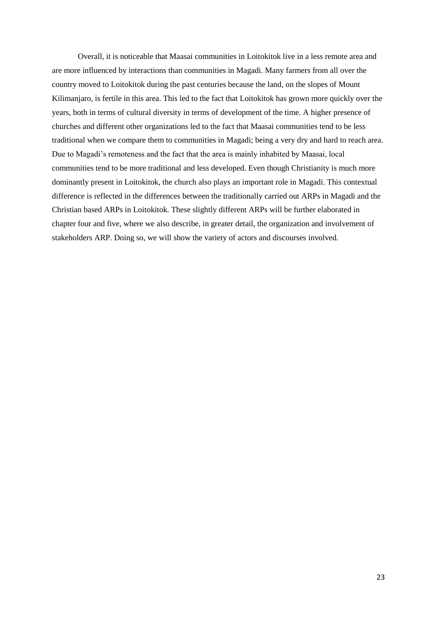Overall, it is noticeable that Maasai communities in Loitokitok live in a less remote area and are more influenced by interactions than communities in Magadi. Many farmers from all over the country moved to Loitokitok during the past centuries because the land, on the slopes of Mount Kilimanjaro, is fertile in this area. This led to the fact that Loitokitok has grown more quickly over the years, both in terms of cultural diversity in terms of development of the time. A higher presence of churches and different other organizations led to the fact that Maasai communities tend to be less traditional when we compare them to communities in Magadi; being a very dry and hard to reach area. Due to Magadi"s remoteness and the fact that the area is mainly inhabited by Maasai, local communities tend to be more traditional and less developed. Even though Christianity is much more dominantly present in Loitokitok, the church also plays an important role in Magadi. This contextual difference is reflected in the differences between the traditionally carried out ARPs in Magadi and the Christian based ARPs in Loitokitok. These slightly different ARPs will be further elaborated in chapter four and five, where we also describe, in greater detail, the organization and involvement of stakeholders ARP. Doing so, we will show the variety of actors and discourses involved.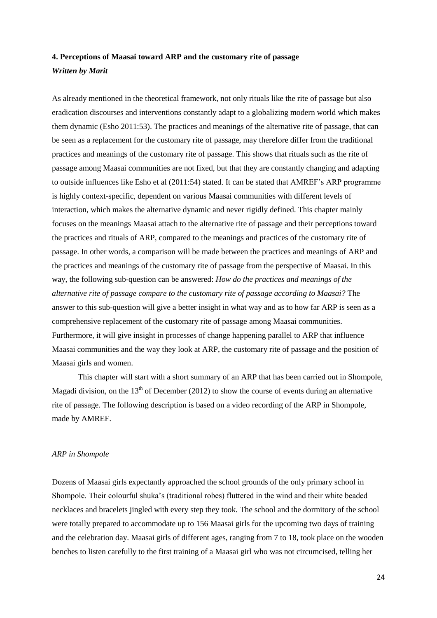## **4. Perceptions of Maasai toward ARP and the customary rite of passage**  *Written by Marit*

As already mentioned in the theoretical framework, not only rituals like the rite of passage but also eradication discourses and interventions constantly adapt to a globalizing modern world which makes them dynamic (Esho 2011:53). The practices and meanings of the alternative rite of passage, that can be seen as a replacement for the customary rite of passage, may therefore differ from the traditional practices and meanings of the customary rite of passage. This shows that rituals such as the rite of passage among Maasai communities are not fixed, but that they are constantly changing and adapting to outside influences like Esho et al (2011:54) stated. It can be stated that AMREF"s ARP programme is highly context-specific, dependent on various Maasai communities with different levels of interaction, which makes the alternative dynamic and never rigidly defined. This chapter mainly focuses on the meanings Maasai attach to the alternative rite of passage and their perceptions toward the practices and rituals of ARP, compared to the meanings and practices of the customary rite of passage. In other words, a comparison will be made between the practices and meanings of ARP and the practices and meanings of the customary rite of passage from the perspective of Maasai. In this way, the following sub-question can be answered: *How do the practices and meanings of the alternative rite of passage compare to the customary rite of passage according to Maasai?* The answer to this sub-question will give a better insight in what way and as to how far ARP is seen as a comprehensive replacement of the customary rite of passage among Maasai communities. Furthermore, it will give insight in processes of change happening parallel to ARP that influence Maasai communities and the way they look at ARP, the customary rite of passage and the position of Maasai girls and women.

This chapter will start with a short summary of an ARP that has been carried out in Shompole, Magadi division, on the  $13<sup>th</sup>$  of December (2012) to show the course of events during an alternative rite of passage. The following description is based on a video recording of the ARP in Shompole, made by AMREF.

#### *ARP in Shompole*

Dozens of Maasai girls expectantly approached the school grounds of the only primary school in Shompole. Their colourful shuka"s (traditional robes) fluttered in the wind and their white beaded necklaces and bracelets jingled with every step they took. The school and the dormitory of the school were totally prepared to accommodate up to 156 Maasai girls for the upcoming two days of training and the celebration day. Maasai girls of different ages, ranging from 7 to 18, took place on the wooden benches to listen carefully to the first training of a Maasai girl who was not circumcised, telling her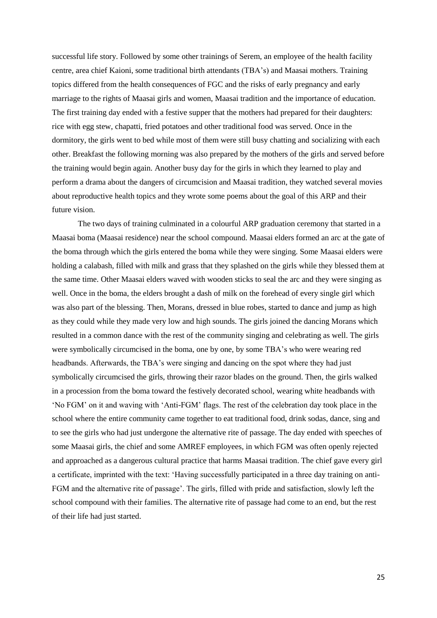successful life story. Followed by some other trainings of Serem, an employee of the health facility centre, area chief Kaioni, some traditional birth attendants (TBA"s) and Maasai mothers. Training topics differed from the health consequences of FGC and the risks of early pregnancy and early marriage to the rights of Maasai girls and women, Maasai tradition and the importance of education. The first training day ended with a festive supper that the mothers had prepared for their daughters: rice with egg stew, chapatti, fried potatoes and other traditional food was served. Once in the dormitory, the girls went to bed while most of them were still busy chatting and socializing with each other. Breakfast the following morning was also prepared by the mothers of the girls and served before the training would begin again. Another busy day for the girls in which they learned to play and perform a drama about the dangers of circumcision and Maasai tradition, they watched several movies about reproductive health topics and they wrote some poems about the goal of this ARP and their future vision.

The two days of training culminated in a colourful ARP graduation ceremony that started in a Maasai boma (Maasai residence) near the school compound. Maasai elders formed an arc at the gate of the boma through which the girls entered the boma while they were singing. Some Maasai elders were holding a calabash, filled with milk and grass that they splashed on the girls while they blessed them at the same time. Other Maasai elders waved with wooden sticks to seal the arc and they were singing as well. Once in the boma, the elders brought a dash of milk on the forehead of every single girl which was also part of the blessing. Then, Morans, dressed in blue robes, started to dance and jump as high as they could while they made very low and high sounds. The girls joined the dancing Morans which resulted in a common dance with the rest of the community singing and celebrating as well. The girls were symbolically circumcised in the boma, one by one, by some TBA"s who were wearing red headbands. Afterwards, the TBA's were singing and dancing on the spot where they had just symbolically circumcised the girls, throwing their razor blades on the ground. Then, the girls walked in a procession from the boma toward the festively decorated school, wearing white headbands with "No FGM" on it and waving with "Anti-FGM" flags. The rest of the celebration day took place in the school where the entire community came together to eat traditional food, drink sodas, dance, sing and to see the girls who had just undergone the alternative rite of passage. The day ended with speeches of some Maasai girls, the chief and some AMREF employees, in which FGM was often openly rejected and approached as a dangerous cultural practice that harms Maasai tradition. The chief gave every girl a certificate, imprinted with the text: "Having successfully participated in a three day training on anti-FGM and the alternative rite of passage". The girls, filled with pride and satisfaction, slowly left the school compound with their families. The alternative rite of passage had come to an end, but the rest of their life had just started.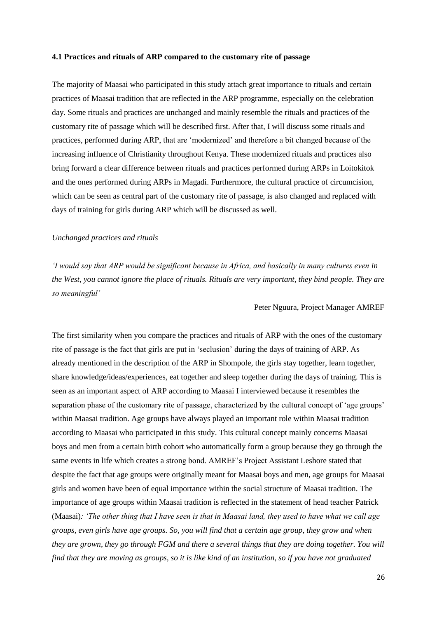## **4.1 Practices and rituals of ARP compared to the customary rite of passage**

The majority of Maasai who participated in this study attach great importance to rituals and certain practices of Maasai tradition that are reflected in the ARP programme, especially on the celebration day. Some rituals and practices are unchanged and mainly resemble the rituals and practices of the customary rite of passage which will be described first. After that, I will discuss some rituals and practices, performed during ARP, that are "modernized" and therefore a bit changed because of the increasing influence of Christianity throughout Kenya. These modernized rituals and practices also bring forward a clear difference between rituals and practices performed during ARPs in Loitokitok and the ones performed during ARPs in Magadi. Furthermore, the cultural practice of circumcision, which can be seen as central part of the customary rite of passage, is also changed and replaced with days of training for girls during ARP which will be discussed as well.

#### *Unchanged practices and rituals*

*"I would say that ARP would be significant because in Africa, and basically in many cultures even in the West, you cannot ignore the place of rituals. Rituals are very important, they bind people. They are so meaningful"*

Peter Nguura, Project Manager AMREF

The first similarity when you compare the practices and rituals of ARP with the ones of the customary rite of passage is the fact that girls are put in "seclusion" during the days of training of ARP. As already mentioned in the description of the ARP in Shompole, the girls stay together, learn together, share knowledge/ideas/experiences, eat together and sleep together during the days of training. This is seen as an important aspect of ARP according to Maasai I interviewed because it resembles the separation phase of the customary rite of passage, characterized by the cultural concept of 'age groups' within Maasai tradition. Age groups have always played an important role within Maasai tradition according to Maasai who participated in this study. This cultural concept mainly concerns Maasai boys and men from a certain birth cohort who automatically form a group because they go through the same events in life which creates a strong bond. AMREF"s Project Assistant Leshore stated that despite the fact that age groups were originally meant for Maasai boys and men, age groups for Maasai girls and women have been of equal importance within the social structure of Maasai tradition. The importance of age groups within Maasai tradition is reflected in the statement of head teacher Patrick (Maasai)*: "The other thing that I have seen is that in Maasai land, they used to have what we call age groups, even girls have age groups. So, you will find that a certain age group, they grow and when they are grown, they go through FGM and there a several things that they are doing together. You will find that they are moving as groups, so it is like kind of an institution, so if you have not graduated*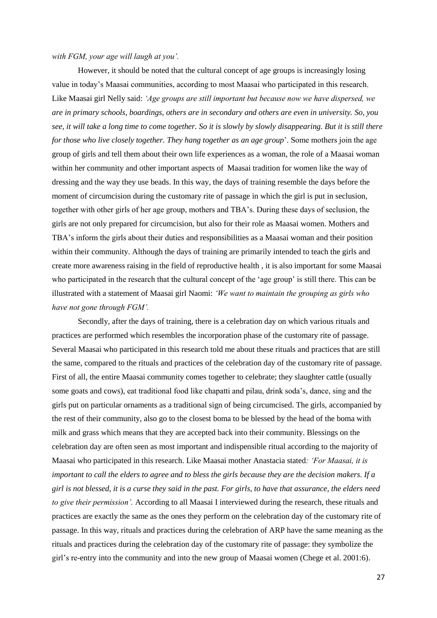*with FGM, your age will laugh at you".* 

However, it should be noted that the cultural concept of age groups is increasingly losing value in today"s Maasai communities, according to most Maasai who participated in this research. Like Maasai girl Nelly said: *"Age groups are still important but because now we have dispersed, we are in primary schools, boardings, others are in secondary and others are even in university. So, you see, it will take a long time to come together. So it is slowly by slowly disappearing. But it is still there for those who live closely together. They hang together as an age group*". Some mothers join the age group of girls and tell them about their own life experiences as a woman, the role of a Maasai woman within her community and other important aspects of Maasai tradition for women like the way of dressing and the way they use beads. In this way, the days of training resemble the days before the moment of circumcision during the customary rite of passage in which the girl is put in seclusion, together with other girls of her age group, mothers and TBA"s. During these days of seclusion, the girls are not only prepared for circumcision, but also for their role as Maasai women. Mothers and TBA"s inform the girls about their duties and responsibilities as a Maasai woman and their position within their community. Although the days of training are primarily intended to teach the girls and create more awareness raising in the field of reproductive health , it is also important for some Maasai who participated in the research that the cultural concept of the "age group" is still there. This can be illustrated with a statement of Maasai girl Naomi: *"We want to maintain the grouping as girls who have not gone through FGM".* 

Secondly, after the days of training, there is a celebration day on which various rituals and practices are performed which resembles the incorporation phase of the customary rite of passage. Several Maasai who participated in this research told me about these rituals and practices that are still the same, compared to the rituals and practices of the celebration day of the customary rite of passage. First of all, the entire Maasai community comes together to celebrate; they slaughter cattle (usually some goats and cows), eat traditional food like chapatti and pilau, drink soda"s, dance, sing and the girls put on particular ornaments as a traditional sign of being circumcised. The girls, accompanied by the rest of their community, also go to the closest boma to be blessed by the head of the boma with milk and grass which means that they are accepted back into their community. Blessings on the celebration day are often seen as most important and indispensible ritual according to the majority of Maasai who participated in this research. Like Maasai mother Anastacia stated*: "For Maasai, it is important to call the elders to agree and to bless the girls because they are the decision makers. If a girl is not blessed, it is a curse they said in the past. For girls, to have that assurance, the elders need to give their permission".* According to all Maasai I interviewed during the research, these rituals and practices are exactly the same as the ones they perform on the celebration day of the customary rite of passage. In this way, rituals and practices during the celebration of ARP have the same meaning as the rituals and practices during the celebration day of the customary rite of passage: they symbolize the girl"s re-entry into the community and into the new group of Maasai women (Chege et al. 2001:6).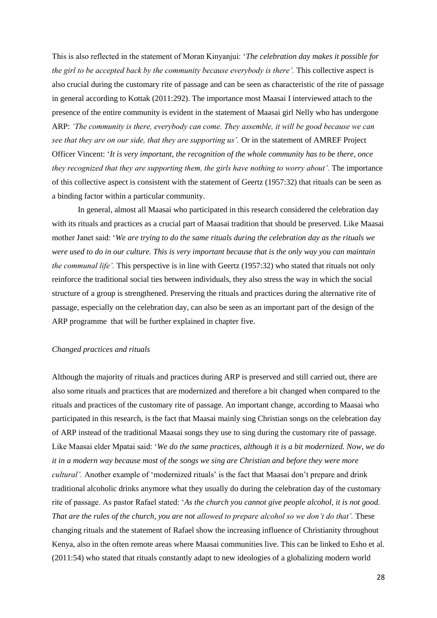This is also reflected in the statement of Moran Kinyanjui: "*The celebration day makes it possible for the girl to be accepted back by the community because everybody is there".* This collective aspect is also crucial during the customary rite of passage and can be seen as characteristic of the rite of passage in general according to Kottak (2011:292). The importance most Maasai I interviewed attach to the presence of the entire community is evident in the statement of Maasai girl Nelly who has undergone ARP: *"The community is there, everybody can come. They assemble, it will be good because we can see that they are on our side, that they are supporting us".* Or in the statement of AMREF Project Officer Vincent: "*It is very important, the recognition of the whole community has to be there, once they recognized that they are supporting them, the girls have nothing to worry about'*. The importance of this collective aspect is consistent with the statement of Geertz (1957:32) that rituals can be seen as a binding factor within a particular community.

In general, almost all Maasai who participated in this research considered the celebration day with its rituals and practices as a crucial part of Maasai tradition that should be preserved. Like Maasai mother Janet said: "*We are trying to do the same rituals during the celebration day as the rituals we were used to do in our culture. This is very important because that is the only way you can maintain the communal life".* This perspective is in line with Geertz (1957:32) who stated that rituals not only reinforce the traditional social ties between individuals, they also stress the way in which the social structure of a group is strengthened. Preserving the rituals and practices during the alternative rite of passage, especially on the celebration day, can also be seen as an important part of the design of the ARP programme that will be further explained in chapter five.

#### *Changed practices and rituals*

Although the majority of rituals and practices during ARP is preserved and still carried out, there are also some rituals and practices that are modernized and therefore a bit changed when compared to the rituals and practices of the customary rite of passage. An important change, according to Maasai who participated in this research, is the fact that Maasai mainly sing Christian songs on the celebration day of ARP instead of the traditional Maasai songs they use to sing during the customary rite of passage. Like Maasai elder Mpatai said: "*We do the same practices, although it is a bit modernized. Now, we do it in a modern way because most of the songs we sing are Christian and before they were more cultural".* Another example of "modernized rituals" is the fact that Maasai don"t prepare and drink traditional alcoholic drinks anymore what they usually do during the celebration day of the customary rite of passage. As pastor Rafael stated: "*As the church you cannot give people alcohol, it is not good. That are the rules of the church, you are not allowed to prepare alcohol so we don"t do that".* These changing rituals and the statement of Rafael show the increasing influence of Christianity throughout Kenya, also in the often remote areas where Maasai communities live. This can be linked to Esho et al. (2011:54) who stated that rituals constantly adapt to new ideologies of a globalizing modern world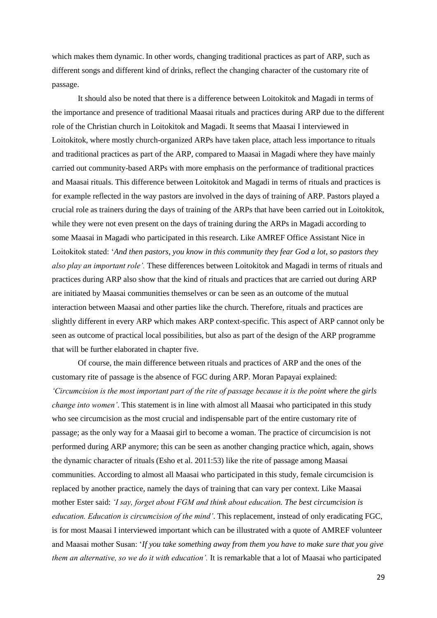which makes them dynamic. In other words, changing traditional practices as part of ARP, such as different songs and different kind of drinks, reflect the changing character of the customary rite of passage.

It should also be noted that there is a difference between Loitokitok and Magadi in terms of the importance and presence of traditional Maasai rituals and practices during ARP due to the different role of the Christian church in Loitokitok and Magadi. It seems that Maasai I interviewed in Loitokitok, where mostly church-organized ARPs have taken place, attach less importance to rituals and traditional practices as part of the ARP, compared to Maasai in Magadi where they have mainly carried out community-based ARPs with more emphasis on the performance of traditional practices and Maasai rituals. This difference between Loitokitok and Magadi in terms of rituals and practices is for example reflected in the way pastors are involved in the days of training of ARP. Pastors played a crucial role as trainers during the days of training of the ARPs that have been carried out in Loitokitok, while they were not even present on the days of training during the ARPs in Magadi according to some Maasai in Magadi who participated in this research. Like AMREF Office Assistant Nice in Loitokitok stated: "*And then pastors, you know in this community they fear God a lot, so pastors they also play an important role".* These differences between Loitokitok and Magadi in terms of rituals and practices during ARP also show that the kind of rituals and practices that are carried out during ARP are initiated by Maasai communities themselves or can be seen as an outcome of the mutual interaction between Maasai and other parties like the church. Therefore, rituals and practices are slightly different in every ARP which makes ARP context-specific. This aspect of ARP cannot only be seen as outcome of practical local possibilities, but also as part of the design of the ARP programme that will be further elaborated in chapter five.

Of course, the main difference between rituals and practices of ARP and the ones of the customary rite of passage is the absence of FGC during ARP. Moran Papayai explained: *"Circumcision is the most important part of the rite of passage because it is the point where the girls change into women"*. This statement is in line with almost all Maasai who participated in this study who see circumcision as the most crucial and indispensable part of the entire customary rite of passage; as the only way for a Maasai girl to become a woman. The practice of circumcision is not performed during ARP anymore; this can be seen as another changing practice which, again, shows the dynamic character of rituals (Esho et al. 2011:53) like the rite of passage among Maasai communities. According to almost all Maasai who participated in this study, female circumcision is replaced by another practice, namely the days of training that can vary per context. Like Maasai mother Ester said: *"I say, forget about FGM and think about education. The best circumcision is education. Education is circumcision of the mind"*. This replacement, instead of only eradicating FGC, is for most Maasai I interviewed important which can be illustrated with a quote of AMREF volunteer and Maasai mother Susan: "*If you take something away from them you have to make sure that you give them an alternative, so we do it with education".* It is remarkable that a lot of Maasai who participated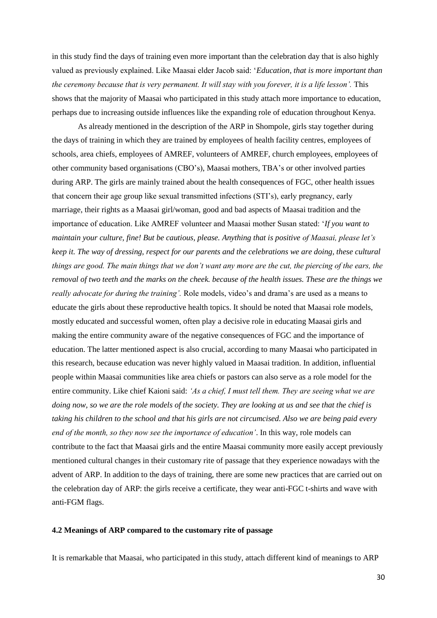in this study find the days of training even more important than the celebration day that is also highly valued as previously explained. Like Maasai elder Jacob said: "*Education, that is more important than the ceremony because that is very permanent. It will stay with you forever, it is a life lesson'*. This shows that the majority of Maasai who participated in this study attach more importance to education, perhaps due to increasing outside influences like the expanding role of education throughout Kenya.

As already mentioned in the description of the ARP in Shompole, girls stay together during the days of training in which they are trained by employees of health facility centres, employees of schools, area chiefs, employees of AMREF, volunteers of AMREF, church employees, employees of other community based organisations (CBO"s), Maasai mothers, TBA"s or other involved parties during ARP. The girls are mainly trained about the health consequences of FGC, other health issues that concern their age group like sexual transmitted infections (STI"s), early pregnancy, early marriage, their rights as a Maasai girl/woman, good and bad aspects of Maasai tradition and the importance of education. Like AMREF volunteer and Maasai mother Susan stated: "*If you want to maintain your culture, fine! But be cautious, please. Anything that is positive of Maasai, please let"s keep it. The way of dressing, respect for our parents and the celebrations we are doing, these cultural things are good. The main things that we don"t want any more are the cut, the piercing of the ears, the removal of two teeth and the marks on the cheek. because of the health issues. These are the things we really advocate for during the training'*. Role models, video's and drama's are used as a means to educate the girls about these reproductive health topics. It should be noted that Maasai role models, mostly educated and successful women, often play a decisive role in educating Maasai girls and making the entire community aware of the negative consequences of FGC and the importance of education. The latter mentioned aspect is also crucial, according to many Maasai who participated in this research, because education was never highly valued in Maasai tradition. In addition, influential people within Maasai communities like area chiefs or pastors can also serve as a role model for the entire community. Like chief Kaioni said: *"As a chief, I must tell them. They are seeing what we are doing now, so we are the role models of the society. They are looking at us and see that the chief is taking his children to the school and that his girls are not circumcised. Also we are being paid every end of the month, so they now see the importance of education"*. In this way, role models can contribute to the fact that Maasai girls and the entire Maasai community more easily accept previously mentioned cultural changes in their customary rite of passage that they experience nowadays with the advent of ARP. In addition to the days of training, there are some new practices that are carried out on the celebration day of ARP: the girls receive a certificate, they wear anti-FGC t-shirts and wave with anti-FGM flags.

#### **4.2 Meanings of ARP compared to the customary rite of passage**

It is remarkable that Maasai, who participated in this study, attach different kind of meanings to ARP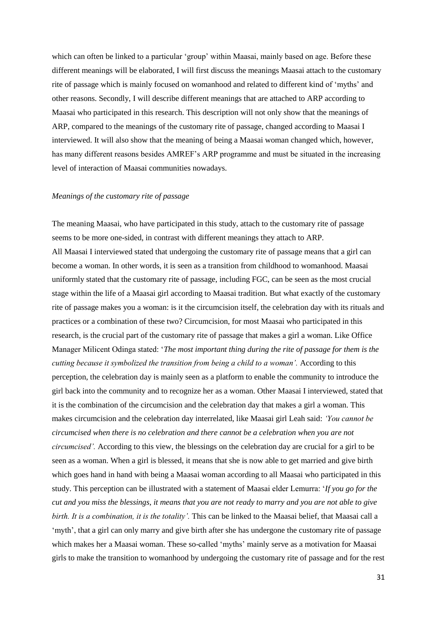which can often be linked to a particular 'group' within Maasai, mainly based on age. Before these different meanings will be elaborated, I will first discuss the meanings Maasai attach to the customary rite of passage which is mainly focused on womanhood and related to different kind of "myths" and other reasons. Secondly, I will describe different meanings that are attached to ARP according to Maasai who participated in this research. This description will not only show that the meanings of ARP, compared to the meanings of the customary rite of passage, changed according to Maasai I interviewed. It will also show that the meaning of being a Maasai woman changed which, however, has many different reasons besides AMREF"s ARP programme and must be situated in the increasing level of interaction of Maasai communities nowadays.

#### *Meanings of the customary rite of passage*

The meaning Maasai, who have participated in this study, attach to the customary rite of passage seems to be more one-sided, in contrast with different meanings they attach to ARP. All Maasai I interviewed stated that undergoing the customary rite of passage means that a girl can become a woman. In other words, it is seen as a transition from childhood to womanhood. Maasai uniformly stated that the customary rite of passage, including FGC, can be seen as the most crucial stage within the life of a Maasai girl according to Maasai tradition. But what exactly of the customary rite of passage makes you a woman: is it the circumcision itself, the celebration day with its rituals and practices or a combination of these two? Circumcision, for most Maasai who participated in this research, is the crucial part of the customary rite of passage that makes a girl a woman. Like Office Manager Milicent Odinga stated: "*The most important thing during the rite of passage for them is the cutting because it symbolized the transition from being a child to a woman".* According to this perception, the celebration day is mainly seen as a platform to enable the community to introduce the girl back into the community and to recognize her as a woman. Other Maasai I interviewed, stated that it is the combination of the circumcision and the celebration day that makes a girl a woman. This makes circumcision and the celebration day interrelated, like Maasai girl Leah said: *"You cannot be circumcised when there is no celebration and there cannot be a celebration when you are not circumcised".* According to this view, the blessings on the celebration day are crucial for a girl to be seen as a woman. When a girl is blessed, it means that she is now able to get married and give birth which goes hand in hand with being a Maasai woman according to all Maasai who participated in this study. This perception can be illustrated with a statement of Maasai elder Lemurra: "*If you go for the cut and you miss the blessings, it means that you are not ready to marry and you are not able to give birth. It is a combination, it is the totality".* This can be linked to the Maasai belief, that Maasai call a "myth", that a girl can only marry and give birth after she has undergone the customary rite of passage which makes her a Maasai woman. These so-called 'myths' mainly serve as a motivation for Maasai girls to make the transition to womanhood by undergoing the customary rite of passage and for the rest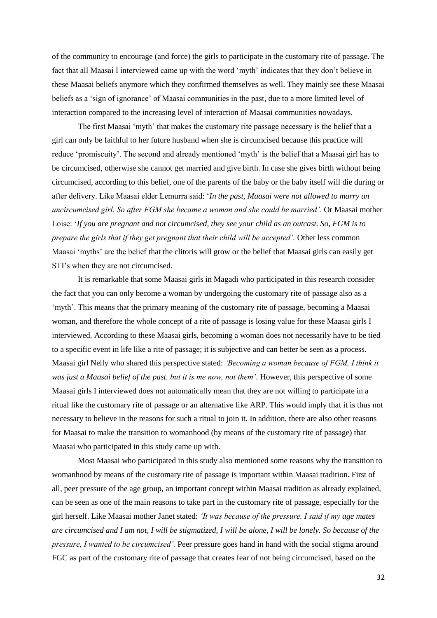of the community to encourage (and force) the girls to participate in the customary rite of passage. The fact that all Maasai I interviewed came up with the word 'myth' indicates that they don't believe in these Maasai beliefs anymore which they confirmed themselves as well. They mainly see these Maasai beliefs as a "sign of ignorance" of Maasai communities in the past, due to a more limited level of interaction compared to the increasing level of interaction of Maasai communities nowadays.

The first Maasai "myth" that makes the customary rite passage necessary is the belief that a girl can only be faithful to her future husband when she is circumcised because this practice will reduce "promiscuity". The second and already mentioned "myth" is the belief that a Maasai girl has to be circumcised, otherwise she cannot get married and give birth. In case she gives birth without being circumcised, according to this belief, one of the parents of the baby or the baby itself will die during or after delivery. Like Maasai elder Lemurra said: "*In the past, Maasai were not allowed to marry an uncircumcised girl. So after FGM she became a woman and she could be married".* Or Maasai mother Loise: "*If you are pregnant and not circumcised, they see your child as an outcast. So, FGM is to prepare the girls that if they get pregnant that their child will be accepted'.* Other less common Maasai "myths" are the belief that the clitoris will grow or the belief that Maasai girls can easily get STI"s when they are not circumcised.

It is remarkable that some Maasai girls in Magadi who participated in this research consider the fact that you can only become a woman by undergoing the customary rite of passage also as a "myth". This means that the primary meaning of the customary rite of passage, becoming a Maasai woman, and therefore the whole concept of a rite of passage is losing value for these Maasai girls I interviewed. According to these Maasai girls, becoming a woman does not necessarily have to be tied to a specific event in life like a rite of passage; it is subjective and can better be seen as a process. Maasai girl Nelly who shared this perspective stated: *"Becoming a woman because of FGM, I think it*  was just a Maasai belief of the past, but it is me now, not them'. However, this perspective of some Maasai girls I interviewed does not automatically mean that they are not willing to participate in a ritual like the customary rite of passage or an alternative like ARP. This would imply that it is thus not necessary to believe in the reasons for such a ritual to join it. In addition, there are also other reasons for Maasai to make the transition to womanhood (by means of the customary rite of passage) that Maasai who participated in this study came up with.

Most Maasai who participated in this study also mentioned some reasons why the transition to womanhood by means of the customary rite of passage is important within Maasai tradition. First of all, peer pressure of the age group, an important concept within Maasai tradition as already explained, can be seen as one of the main reasons to take part in the customary rite of passage, especially for the girl herself. Like Maasai mother Janet stated: *"It was because of the pressure. I said if my age mates are circumcised and I am not, I will be stigmatized, I will be alone, I will be lonely. So because of the pressure, I wanted to be circumcised".* Peer pressure goes hand in hand with the social stigma around FGC as part of the customary rite of passage that creates fear of not being circumcised, based on the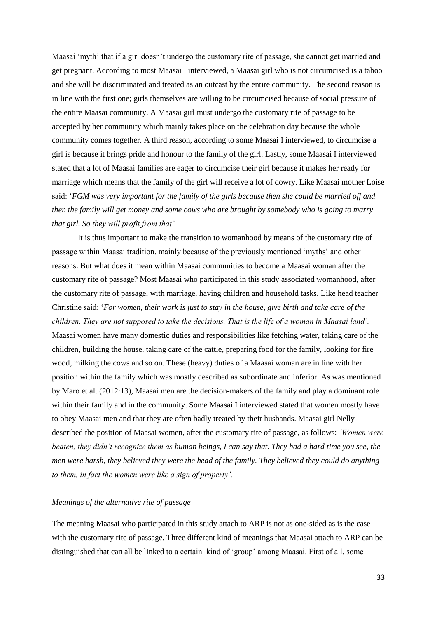Maasai 'myth' that if a girl doesn't undergo the customary rite of passage, she cannot get married and get pregnant. According to most Maasai I interviewed, a Maasai girl who is not circumcised is a taboo and she will be discriminated and treated as an outcast by the entire community. The second reason is in line with the first one; girls themselves are willing to be circumcised because of social pressure of the entire Maasai community. A Maasai girl must undergo the customary rite of passage to be accepted by her community which mainly takes place on the celebration day because the whole community comes together. A third reason, according to some Maasai I interviewed, to circumcise a girl is because it brings pride and honour to the family of the girl. Lastly, some Maasai I interviewed stated that a lot of Maasai families are eager to circumcise their girl because it makes her ready for marriage which means that the family of the girl will receive a lot of dowry. Like Maasai mother Loise said: "*FGM was very important for the family of the girls because then she could be married off and then the family will get money and some cows who are brought by somebody who is going to marry that girl. So they will profit from that".* 

It is thus important to make the transition to womanhood by means of the customary rite of passage within Maasai tradition, mainly because of the previously mentioned "myths" and other reasons. But what does it mean within Maasai communities to become a Maasai woman after the customary rite of passage? Most Maasai who participated in this study associated womanhood, after the customary rite of passage, with marriage, having children and household tasks. Like head teacher Christine said: "*For women, their work is just to stay in the house, give birth and take care of the children. They are not supposed to take the decisions. That is the life of a woman in Maasai land".*  Maasai women have many domestic duties and responsibilities like fetching water, taking care of the children, building the house, taking care of the cattle, preparing food for the family, looking for fire wood, milking the cows and so on. These (heavy) duties of a Maasai woman are in line with her position within the family which was mostly described as subordinate and inferior. As was mentioned by Maro et al. (2012:13), Maasai men are the decision-makers of the family and play a dominant role within their family and in the community. Some Maasai I interviewed stated that women mostly have to obey Maasai men and that they are often badly treated by their husbands. Maasai girl Nelly described the position of Maasai women, after the customary rite of passage, as follows: *"Women were beaten, they didn"t recognize them as human beings, I can say that. They had a hard time you see, the men were harsh, they believed they were the head of the family. They believed they could do anything to them, in fact the women were like a sign of property".*

## *Meanings of the alternative rite of passage*

The meaning Maasai who participated in this study attach to ARP is not as one-sided as is the case with the customary rite of passage. Three different kind of meanings that Maasai attach to ARP can be distinguished that can all be linked to a certain kind of "group" among Maasai. First of all, some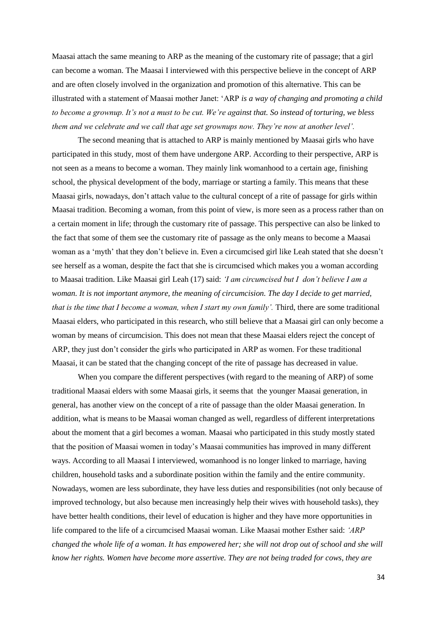Maasai attach the same meaning to ARP as the meaning of the customary rite of passage; that a girl can become a woman. The Maasai I interviewed with this perspective believe in the concept of ARP and are often closely involved in the organization and promotion of this alternative. This can be illustrated with a statement of Maasai mother Janet: "ARP *is a way of changing and promoting a child to become a grownup. It"s not a must to be cut. We"re against that. So instead of torturing, we bless them and we celebrate and we call that age set grownups now. They"re now at another level".* 

The second meaning that is attached to ARP is mainly mentioned by Maasai girls who have participated in this study, most of them have undergone ARP. According to their perspective, ARP is not seen as a means to become a woman. They mainly link womanhood to a certain age, finishing school, the physical development of the body, marriage or starting a family. This means that these Maasai girls, nowadays, don"t attach value to the cultural concept of a rite of passage for girls within Maasai tradition. Becoming a woman, from this point of view, is more seen as a process rather than on a certain moment in life; through the customary rite of passage. This perspective can also be linked to the fact that some of them see the customary rite of passage as the only means to become a Maasai woman as a 'myth' that they don't believe in. Even a circumcised girl like Leah stated that she doesn't see herself as a woman, despite the fact that she is circumcised which makes you a woman according to Maasai tradition. Like Maasai girl Leah (17) said: *"I am circumcised but I don"t believe I am a woman. It is not important anymore, the meaning of circumcision. The day I decide to get married, that is the time that I become a woman, when I start my own family'*. Third, there are some traditional Maasai elders, who participated in this research, who still believe that a Maasai girl can only become a woman by means of circumcision. This does not mean that these Maasai elders reject the concept of ARP, they just don"t consider the girls who participated in ARP as women. For these traditional Maasai, it can be stated that the changing concept of the rite of passage has decreased in value.

When you compare the different perspectives (with regard to the meaning of ARP) of some traditional Maasai elders with some Maasai girls, it seems that the younger Maasai generation, in general, has another view on the concept of a rite of passage than the older Maasai generation. In addition, what is means to be Maasai woman changed as well, regardless of different interpretations about the moment that a girl becomes a woman. Maasai who participated in this study mostly stated that the position of Maasai women in today"s Maasai communities has improved in many different ways. According to all Maasai I interviewed, womanhood is no longer linked to marriage, having children, household tasks and a subordinate position within the family and the entire community. Nowadays, women are less subordinate, they have less duties and responsibilities (not only because of improved technology, but also because men increasingly help their wives with household tasks), they have better health conditions, their level of education is higher and they have more opportunities in life compared to the life of a circumcised Maasai woman. Like Maasai mother Esther said: *"ARP changed the whole life of a woman. It has empowered her; she will not drop out of school and she will know her rights. Women have become more assertive. They are not being traded for cows, they are*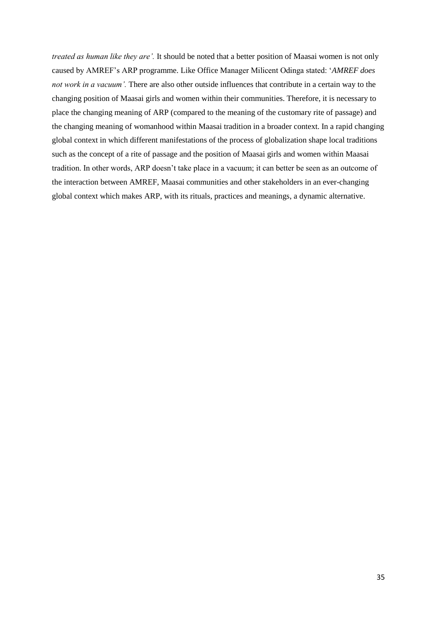*treated as human like they are".* It should be noted that a better position of Maasai women is not only caused by AMREF"s ARP programme. Like Office Manager Milicent Odinga stated: "*AMREF does not work in a vacuum".* There are also other outside influences that contribute in a certain way to the changing position of Maasai girls and women within their communities. Therefore, it is necessary to place the changing meaning of ARP (compared to the meaning of the customary rite of passage) and the changing meaning of womanhood within Maasai tradition in a broader context. In a rapid changing global context in which different manifestations of the process of globalization shape local traditions such as the concept of a rite of passage and the position of Maasai girls and women within Maasai tradition. In other words, ARP doesn"t take place in a vacuum; it can better be seen as an outcome of the interaction between AMREF, Maasai communities and other stakeholders in an ever-changing global context which makes ARP, with its rituals, practices and meanings, a dynamic alternative.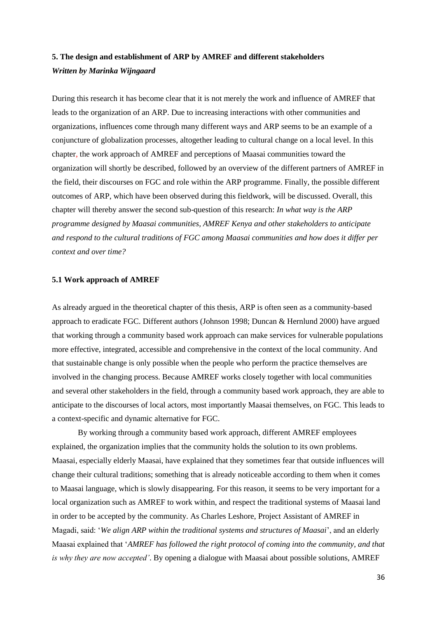## **5. The design and establishment of ARP by AMREF and different stakeholders** *Written by Marinka Wijngaard*

During this research it has become clear that it is not merely the work and influence of AMREF that leads to the organization of an ARP. Due to increasing interactions with other communities and organizations, influences come through many different ways and ARP seems to be an example of a conjuncture of globalization processes, altogether leading to cultural change on a local level. In this chapter, the work approach of AMREF and perceptions of Maasai communities toward the organization will shortly be described, followed by an overview of the different partners of AMREF in the field, their discourses on FGC and role within the ARP programme. Finally, the possible different outcomes of ARP, which have been observed during this fieldwork, will be discussed. Overall, this chapter will thereby answer the second sub-question of this research: *In what way is the ARP programme designed by Maasai communities, AMREF Kenya and other stakeholders to anticipate and respond to the cultural traditions of FGC among Maasai communities and how does it differ per context and over time?*

#### **5.1 Work approach of AMREF**

As already argued in the theoretical chapter of this thesis, ARP is often seen as a community-based approach to eradicate FGC. Different authors (Johnson 1998; Duncan & Hernlund 2000) have argued that working through a community based work approach can make services for vulnerable populations more effective, integrated, accessible and comprehensive in the context of the local community. And that sustainable change is only possible when the people who perform the practice themselves are involved in the changing process. Because AMREF works closely together with local communities and several other stakeholders in the field, through a community based work approach, they are able to anticipate to the discourses of local actors, most importantly Maasai themselves, on FGC. This leads to a context-specific and dynamic alternative for FGC.

By working through a community based work approach, different AMREF employees explained, the organization implies that the community holds the solution to its own problems. Maasai, especially elderly Maasai, have explained that they sometimes fear that outside influences will change their cultural traditions; something that is already noticeable according to them when it comes to Maasai language, which is slowly disappearing. For this reason, it seems to be very important for a local organization such as AMREF to work within, and respect the traditional systems of Maasai land in order to be accepted by the community. As Charles Leshore, Project Assistant of AMREF in Magadi, said: "*We align ARP within the traditional systems and structures of Maasai*", and an elderly Maasai explained that "*AMREF has followed the right protocol of coming into the community, and that is why they are now accepted"*. By opening a dialogue with Maasai about possible solutions, AMREF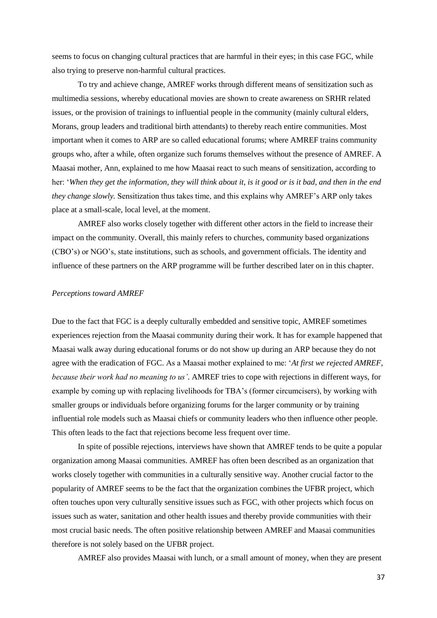seems to focus on changing cultural practices that are harmful in their eyes; in this case FGC, while also trying to preserve non-harmful cultural practices.

To try and achieve change, AMREF works through different means of sensitization such as multimedia sessions, whereby educational movies are shown to create awareness on SRHR related issues, or the provision of trainings to influential people in the community (mainly cultural elders, Morans, group leaders and traditional birth attendants) to thereby reach entire communities. Most important when it comes to ARP are so called educational forums; where AMREF trains community groups who, after a while, often organize such forums themselves without the presence of AMREF. A Maasai mother, Ann, explained to me how Maasai react to such means of sensitization, according to her: "*When they get the information, they will think about it, is it good or is it bad, and then in the end they change slowly.* Sensitization thus takes time, and this explains why AMREF"s ARP only takes place at a small-scale, local level, at the moment.

AMREF also works closely together with different other actors in the field to increase their impact on the community. Overall, this mainly refers to churches, community based organizations (CBO"s) or NGO"s, state institutions, such as schools, and government officials. The identity and influence of these partners on the ARP programme will be further described later on in this chapter.

#### *Perceptions toward AMREF*

Due to the fact that FGC is a deeply culturally embedded and sensitive topic, AMREF sometimes experiences rejection from the Maasai community during their work. It has for example happened that Maasai walk away during educational forums or do not show up during an ARP because they do not agree with the eradication of FGC. As a Maasai mother explained to me: "*At first we rejected AMREF, because their work had no meaning to us"*. AMREF tries to cope with rejections in different ways, for example by coming up with replacing livelihoods for TBA"s (former circumcisers), by working with smaller groups or individuals before organizing forums for the larger community or by training influential role models such as Maasai chiefs or community leaders who then influence other people. This often leads to the fact that rejections become less frequent over time.

In spite of possible rejections, interviews have shown that AMREF tends to be quite a popular organization among Maasai communities. AMREF has often been described as an organization that works closely together with communities in a culturally sensitive way. Another crucial factor to the popularity of AMREF seems to be the fact that the organization combines the UFBR project, which often touches upon very culturally sensitive issues such as FGC, with other projects which focus on issues such as water, sanitation and other health issues and thereby provide communities with their most crucial basic needs. The often positive relationship between AMREF and Maasai communities therefore is not solely based on the UFBR project.

AMREF also provides Maasai with lunch, or a small amount of money, when they are present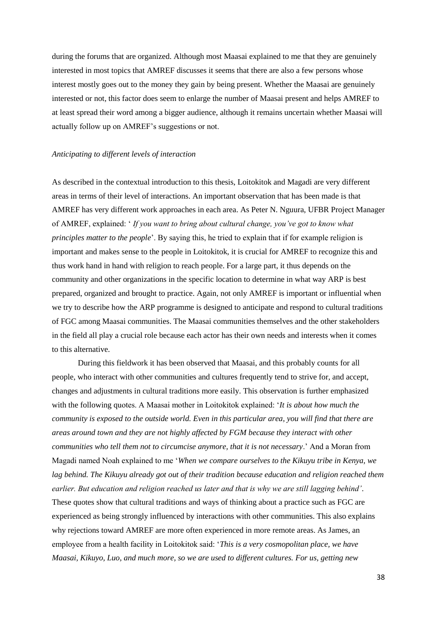during the forums that are organized. Although most Maasai explained to me that they are genuinely interested in most topics that AMREF discusses it seems that there are also a few persons whose interest mostly goes out to the money they gain by being present. Whether the Maasai are genuinely interested or not, this factor does seem to enlarge the number of Maasai present and helps AMREF to at least spread their word among a bigger audience, although it remains uncertain whether Maasai will actually follow up on AMREF"s suggestions or not.

#### *Anticipating to different levels of interaction*

As described in the contextual introduction to this thesis, Loitokitok and Magadi are very different areas in terms of their level of interactions. An important observation that has been made is that AMREF has very different work approaches in each area. As Peter N. Nguura, UFBR Project Manager of AMREF, explained: " *If you want to bring about cultural change, you"ve got to know what principles matter to the people*". By saying this, he tried to explain that if for example religion is important and makes sense to the people in Loitokitok, it is crucial for AMREF to recognize this and thus work hand in hand with religion to reach people. For a large part, it thus depends on the community and other organizations in the specific location to determine in what way ARP is best prepared, organized and brought to practice. Again, not only AMREF is important or influential when we try to describe how the ARP programme is designed to anticipate and respond to cultural traditions of FGC among Maasai communities. The Maasai communities themselves and the other stakeholders in the field all play a crucial role because each actor has their own needs and interests when it comes to this alternative.

During this fieldwork it has been observed that Maasai, and this probably counts for all people, who interact with other communities and cultures frequently tend to strive for, and accept, changes and adjustments in cultural traditions more easily. This observation is further emphasized with the following quotes. A Maasai mother in Loitokitok explained: "*It is about how much the community is exposed to the outside world. Even in this particular area, you will find that there are areas around town and they are not highly affected by FGM because they interact with other communities who tell them not to circumcise anymore, that it is not necessary*." And a Moran from Magadi named Noah explained to me "*When we compare ourselves to the Kikuyu tribe in Kenya, we lag behind. The Kikuyu already got out of their tradition because education and religion reached them earlier. But education and religion reached us later and that is why we are still lagging behind"*. These quotes show that cultural traditions and ways of thinking about a practice such as FGC are experienced as being strongly influenced by interactions with other communities. This also explains why rejections toward AMREF are more often experienced in more remote areas. As James, an employee from a health facility in Loitokitok said: "*This is a very cosmopolitan place, we have Maasai, Kikuyo, Luo, and much more, so we are used to different cultures. For us, getting new*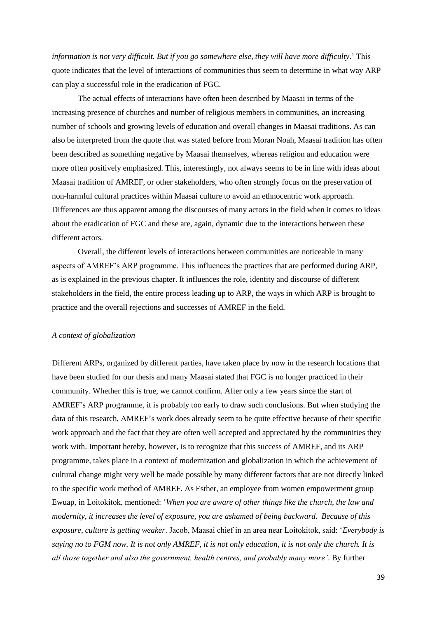*information is not very difficult. But if you go somewhere else, they will have more difficulty*." This quote indicates that the level of interactions of communities thus seem to determine in what way ARP can play a successful role in the eradication of FGC.

The actual effects of interactions have often been described by Maasai in terms of the increasing presence of churches and number of religious members in communities, an increasing number of schools and growing levels of education and overall changes in Maasai traditions. As can also be interpreted from the quote that was stated before from Moran Noah, Maasai tradition has often been described as something negative by Maasai themselves, whereas religion and education were more often positively emphasized. This, interestingly, not always seems to be in line with ideas about Maasai tradition of AMREF, or other stakeholders, who often strongly focus on the preservation of non-harmful cultural practices within Maasai culture to avoid an ethnocentric work approach. Differences are thus apparent among the discourses of many actors in the field when it comes to ideas about the eradication of FGC and these are, again, dynamic due to the interactions between these different actors.

Overall, the different levels of interactions between communities are noticeable in many aspects of AMREF"s ARP programme. This influences the practices that are performed during ARP, as is explained in the previous chapter. It influences the role, identity and discourse of different stakeholders in the field, the entire process leading up to ARP, the ways in which ARP is brought to practice and the overall rejections and successes of AMREF in the field.

#### *A context of globalization*

Different ARPs, organized by different parties, have taken place by now in the research locations that have been studied for our thesis and many Maasai stated that FGC is no longer practiced in their community. Whether this is true, we cannot confirm. After only a few years since the start of AMREF"s ARP programme, it is probably too early to draw such conclusions. But when studying the data of this research, AMREF"s work does already seem to be quite effective because of their specific work approach and the fact that they are often well accepted and appreciated by the communities they work with. Important hereby, however, is to recognize that this success of AMREF, and its ARP programme, takes place in a context of modernization and globalization in which the achievement of cultural change might very well be made possible by many different factors that are not directly linked to the specific work method of AMREF. As Esther, an employee from women empowerment group Ewuap, in Loitokitok, mentioned: "*When you are aware of other things like the church, the law and modernity, it increases the level of exposure, you are ashamed of being backward. Because of this exposure, culture is getting weaker*. Jacob, Maasai chief in an area near Loitokitok, said: "*Everybody is saying no to FGM now. It is not only AMREF, it is not only education, it is not only the church. It is all those together and also the government, health centres, and probably many more"*. By further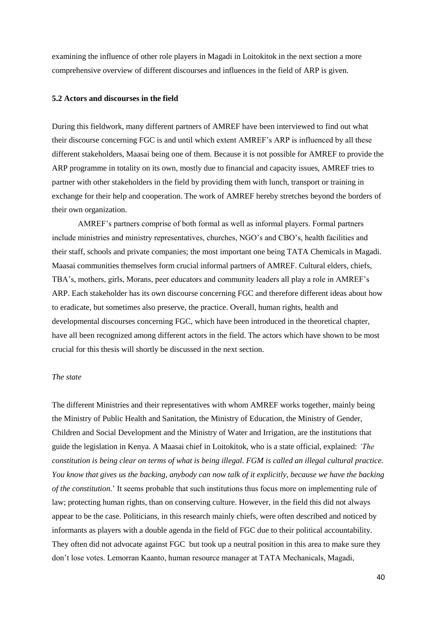examining the influence of other role players in Magadi in Loitokitok in the next section a more comprehensive overview of different discourses and influences in the field of ARP is given.

#### **5.2 Actors and discourses in the field**

During this fieldwork, many different partners of AMREF have been interviewed to find out what their discourse concerning FGC is and until which extent AMREF"s ARP is influenced by all these different stakeholders, Maasai being one of them. Because it is not possible for AMREF to provide the ARP programme in totality on its own, mostly due to financial and capacity issues, AMREF tries to partner with other stakeholders in the field by providing them with lunch, transport or training in exchange for their help and cooperation. The work of AMREF hereby stretches beyond the borders of their own organization.

AMREF"s partners comprise of both formal as well as informal players. Formal partners include ministries and ministry representatives, churches, NGO"s and CBO"s, health facilities and their staff, schools and private companies; the most important one being TATA Chemicals in Magadi. Maasai communities themselves form crucial informal partners of AMREF. Cultural elders, chiefs, TBA"s, mothers, girls, Morans, peer educators and community leaders all play a role in AMREF"s ARP. Each stakeholder has its own discourse concerning FGC and therefore different ideas about how to eradicate, but sometimes also preserve, the practice. Overall, human rights, health and developmental discourses concerning FGC, which have been introduced in the theoretical chapter, have all been recognized among different actors in the field. The actors which have shown to be most crucial for this thesis will shortly be discussed in the next section.

#### *The state*

The different Ministries and their representatives with whom AMREF works together, mainly being the Ministry of Public Health and Sanitation, the Ministry of Education, the Ministry of Gender, Children and Social Development and the Ministry of Water and Irrigation, are the institutions that guide the legislation in Kenya. A Maasai chief in Loitokitok, who is a state official, explained: *"The constitution is being clear on terms of what is being illegal. FGM is called an illegal cultural practice. You know that gives us the backing, anybody can now talk of it explicitly, because we have the backing of the constitution.*" It seems probable that such institutions thus focus more on implementing rule of law; protecting human rights, than on conserving culture. However, in the field this did not always appear to be the case. Politicians, in this research mainly chiefs, were often described and noticed by informants as players with a double agenda in the field of FGC due to their political accountability. They often did not advocate against FGC but took up a neutral position in this area to make sure they don"t lose votes. Lemorran Kaanto, human resource manager at TATA Mechanicals, Magadi,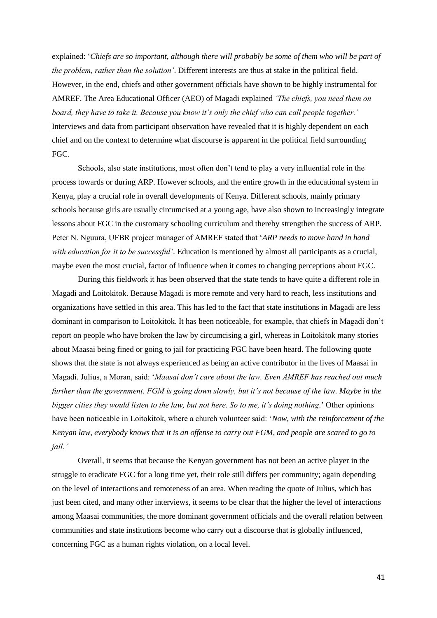explained: "*Chiefs are so important, although there will probably be some of them who will be part of the problem, rather than the solution"*. Different interests are thus at stake in the political field. However, in the end, chiefs and other government officials have shown to be highly instrumental for AMREF. The Area Educational Officer (AEO) of Magadi explained *"The chiefs, you need them on*  board, they have to take it. Because you know it's only the chief who can call people together.' Interviews and data from participant observation have revealed that it is highly dependent on each chief and on the context to determine what discourse is apparent in the political field surrounding FGC.

Schools, also state institutions, most often don't tend to play a very influential role in the process towards or during ARP. However schools, and the entire growth in the educational system in Kenya, play a crucial role in overall developments of Kenya. Different schools, mainly primary schools because girls are usually circumcised at a young age, have also shown to increasingly integrate lessons about FGC in the customary schooling curriculum and thereby strengthen the success of ARP. Peter N. Nguura, UFBR project manager of AMREF stated that "*ARP needs to move hand in hand with education for it to be successful"*. Education is mentioned by almost all participants as a crucial, maybe even the most crucial, factor of influence when it comes to changing perceptions about FGC.

During this fieldwork it has been observed that the state tends to have quite a different role in Magadi and Loitokitok. Because Magadi is more remote and very hard to reach, less institutions and organizations have settled in this area. This has led to the fact that state institutions in Magadi are less dominant in comparison to Loitokitok. It has been noticeable, for example, that chiefs in Magadi don"t report on people who have broken the law by circumcising a girl, whereas in Loitokitok many stories about Maasai being fined or going to jail for practicing FGC have been heard. The following quote shows that the state is not always experienced as being an active contributor in the lives of Maasai in Magadi. Julius, a Moran, said: "*Maasai don"t care about the law. Even AMREF has reached out much further than the government. FGM is going down slowly, but it's not because of the law. Maybe in the bigger cities they would listen to the law, but not here. So to me, it"s doing nothing*." Other opinions have been noticeable in Loitokitok, where a church volunteer said: "*Now, with the reinforcement of the Kenyan law, everybody knows that it is an offense to carry out FGM, and people are scared to go to jail."* 

Overall, it seems that because the Kenyan government has not been an active player in the struggle to eradicate FGC for a long time yet, their role still differs per community; again depending on the level of interactions and remoteness of an area. When reading the quote of Julius, which has just been cited, and many other interviews, it seems to be clear that the higher the level of interactions among Maasai communities, the more dominant government officials and the overall relation between communities and state institutions become who carry out a discourse that is globally influenced, concerning FGC as a human rights violation, on a local level.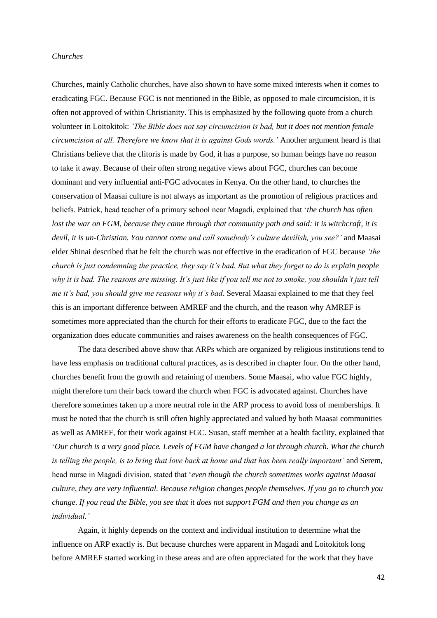#### *Churches*

Churches, mainly Catholic churches, have also shown to have some mixed interests when it comes to eradicating FGC. Because FGC is not mentioned in the Bible, as opposed to male circumcision, it is often not approved of within Christianity. This is emphasized by the following quote from a church volunteer in Loitokitok: *"The Bible does not say circumcision is bad, but it does not mention female circumcision at all. Therefore we know that it is against Gods words."* Another argument heard is that Christians believe that the clitoris is made by God, it has a purpose, so human beings have no reason to take it away. Because of their often strong negative views about FGC, churches can become dominant and very influential anti-FGC advocates in Kenya. On the other hand, to churches the conservation of Maasai culture is not always as important as the promotion of religious practices and beliefs. Patrick, head teacher of a primary school near Magadi, explained that "*the church has often lost the war on FGM, because they came through that community path and said: it is witchcraft, it is devil, it is un-Christian. You cannot come and call somebody"s culture devilish, you see?"* and Maasai elder Shinai described that he felt the church was not effective in the eradication of FGC because *"the church is just condemning the practice, they say it"s bad. But what they forget to do is explain people why it is bad. The reasons are missing. It"s just like if you tell me not to smoke, you shouldn"t just tell me it"s bad, you should give me reasons why it"s bad*. Several Maasai explained to me that they feel this is an important difference between AMREF and the church, and the reason why AMREF is sometimes more appreciated than the church for their efforts to eradicate FGC, due to the fact the organization does educate communities and raises awareness on the health consequences of FGC.

The data described above show that ARPs which are organized by religious institutions tend to have less emphasis on traditional cultural practices, as is described in chapter four. On the other hand, churches benefit from the growth and retaining of members. Some Maasai, who value FGC highly, might therefore turn their back toward the church when FGC is advocated against. Churches have therefore sometimes taken up a more neutral role in the ARP process to avoid loss of memberships. It must be noted that the church is still often highly appreciated and valued by both Maasai communities as well as AMREF, for their work against FGC. Susan, staff member at a health facility, explained that "*Our church is a very good place. Levels of FGM have changed a lot through church. What the church is telling the people, is to bring that love back at home and that has been really important"* and Serem, head nurse in Magadi division, stated that "*even though the church sometimes works against Maasai culture, they are very influential. Because religion changes people themselves. If you go to church you change. If you read the Bible, you see that it does not support FGM and then you change as an individual."*

Again, it highly depends on the context and individual institution to determine what the influence on ARP exactly is. But because churches were apparent in Magadi and Loitokitok long before AMREF started working in these areas and are often appreciated for the work that they have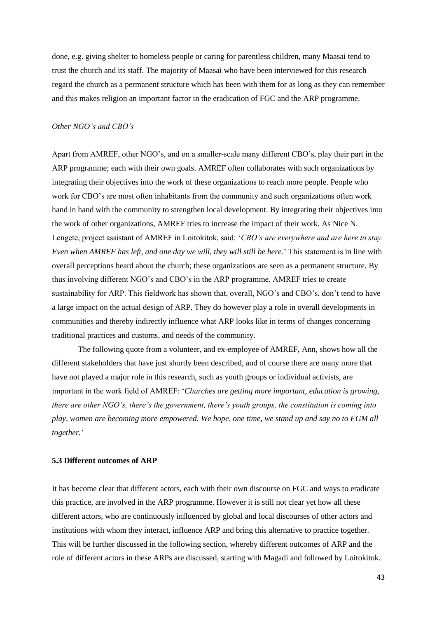done, e.g. giving shelter to homeless people or caring for parentless children, many Maasai tend to trust the church and its staff. The majority of Maasai who have been interviewed for this research regard the church as a permanent structure which has been with them for as long as they can remember and this makes religion an important factor in the eradication of FGC and the ARP programme.

#### *Other NGO"s and CBO"s*

Apart from AMREF, other NGO"s, and on a smaller-scale many different CBO"s, play their part in the ARP programme; each with their own goals. AMREF often collaborates with such organizations by integrating their objectives into the work of these organizations to reach more people. People who work for CBO"s are most often inhabitants from the community and such organizations often work hand in hand with the community to strengthen local development. By integrating their objectives into the work of other organizations, AMREF tries to increase the impact of their work. As Nice N. Lengete, project assistant of AMREF in Loitokitok, said: "*CBO"s are everywhere and are here to stay. Even when AMREF has left, and one day we will, they will still be here*." This statement is in line with overall perceptions heard about the church; these organizations are seen as a permanent structure. By thus involving different NGO"s and CBO"s in the ARP programme, AMREF tries to create sustainability for ARP. This fieldwork has shown that, overall, NGO's and CBO's, don't tend to have a large impact on the actual design of ARP. They do however play a role in overall developments in communities and thereby indirectly influence what ARP looks like in terms of changes concerning traditional practices and customs, and needs of the community.

The following quote from a volunteer, and ex-employee of AMREF, Ann, shows how all the different stakeholders that have just shortly been described, and of course there are many more that have not played a major role in this research, such as youth groups or individual activists, are important in the work field of AMREF: "*Churches are getting more important, education is growing, there are other NGO"s, there"s the government, there"s youth groups, the constitution is coming into play, women are becoming more empowered. We hope, one time, we stand up and say no to FGM all together.*"

#### **5.3 Different outcomes of ARP**

It has become clear that different actors, each with their own discourse on FGC and ways to eradicate this practice, are involved in the ARP programme. However it is still not clear yet how all these different actors, who are continuously influenced by global and local discourses of other actors and institutions with whom they interact, influence ARP and bring this alternative to practice together. This will be further discussed in the following section, whereby different outcomes of ARP and the role of different actors in these ARPs are discussed, starting with Magadi and followed by Loitokitok.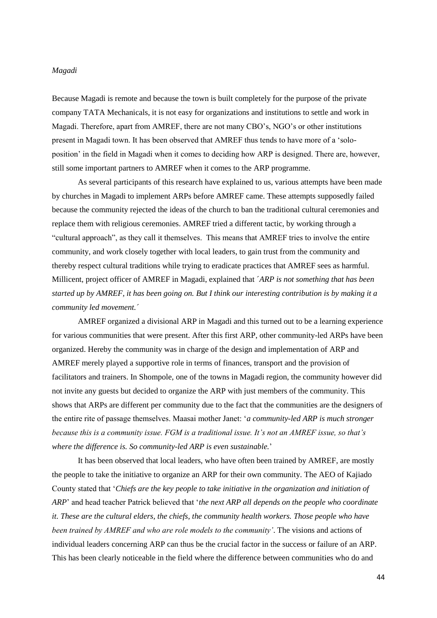#### *Magadi*

Because Magadi is remote and because the town is built completely for the purpose of the private company TATA Mechanicals, it is not easy for organizations and institutions to settle and work in Magadi. Therefore, apart from AMREF, there are not many CBO"s, NGO"s or other institutions present in Magadi town. It has been observed that AMREF thus tends to have more of a "soloposition" in the field in Magadi when it comes to deciding how ARP is designed. There are, however, still some important partners to AMREF when it comes to the ARP programme.

As several participants of this research have explained to us, various attempts have been made by churches in Magadi to implement ARPs before AMREF came. These attempts supposedly failed because the community rejected the ideas of the church to ban the traditional cultural ceremonies and replace them with religious ceremonies. AMREF tried a different tactic, by working through a "cultural approach", as they call it themselves. This means that AMREF tries to involve the entire community, and work closely together with local leaders, to gain trust from the community and thereby respect cultural traditions while trying to eradicate practices that AMREF sees as harmful. Millicent, project officer of AMREF in Magadi, explained that ´*ARP is not something that has been started up by AMREF, it has been going on. But I think our interesting contribution is by making it a community led movement.´*

AMREF organized a divisional ARP in Magadi and this turned out to be a learning experience for various communities that were present. After this first ARP, other community-led ARPs have been organized. Hereby the community was in charge of the design and implementation of ARP and AMREF merely played a supportive role in terms of finances, transport and the provision of facilitators and trainers. In Shompole, one of the towns in Magadi region, the community however did not invite any guests but decided to organize the ARP with just members of the community. This shows that ARPs are different per community due to the fact that the communities are the designers of the entire rite of passage themselves. Maasai mother Janet: "*a community-led ARP is much stronger because this is a community issue. FGM is a traditional issue. It"s not an AMREF issue, so that"s where the difference is. So community-led ARP is even sustainable.*"

It has been observed that local leaders, who have often been trained by AMREF, are mostly the people to take the initiative to organize an ARP for their own community. The AEO of Kajiado County stated that "*Chiefs are the key people to take initiative in the organization and initiation of ARP*" and head teacher Patrick believed that "*the next ARP all depends on the people who coordinate it. These are the cultural elders, the chiefs, the community health workers. Those people who have been trained by AMREF and who are role models to the community"*. The visions and actions of individual leaders concerning ARP can thus be the crucial factor in the success or failure of an ARP. This has been clearly noticeable in the field where the difference between communities who do and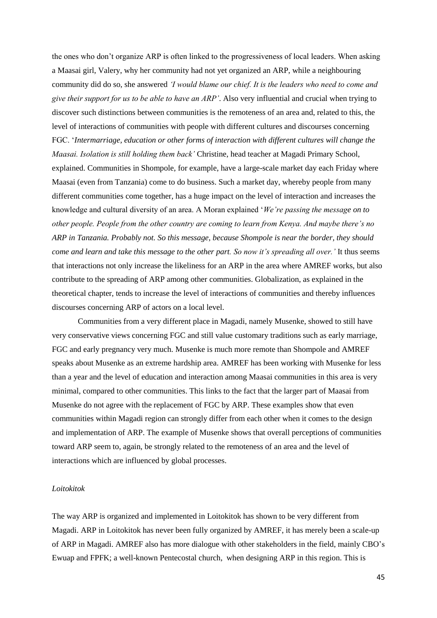the ones who don"t organize ARP is often linked to the progressiveness of local leaders. When asking a Maasai girl, Valery, why her community had not yet organized an ARP, while a neighbouring community did do so, she answered *"I would blame our chief. It is the leaders who need to come and give their support for us to be able to have an ARP"*. Also very influential and crucial when trying to discover such distinctions between communities is the remoteness of an area and, related to this, the level of interactions of communities with people with different cultures and discourses concerning FGC. "*Intermarriage, education or other forms of interaction with different cultures will change the Maasai. Isolation is still holding them back"* Christine, head teacher at Magadi Primary School, explained. Communities in Shompole, for example, have a large-scale market day each Friday where Maasai (even from Tanzania) come to do business. Such a market day, whereby people from many different communities come together, has a huge impact on the level of interaction and increases the knowledge and cultural diversity of an area. A Moran explained "*We"re passing the message on to other people. People from the other country are coming to learn from Kenya. And maybe there"s no ARP in Tanzania. Probably not. So this message, because Shompole is near the border, they should come and learn and take this message to the other part. So now it's spreading all over.'* It thus seems that interactions not only increase the likeliness for an ARP in the area where AMREF works, but also contribute to the spreading of ARP among other communities. Globalization, as explained in the theoretical chapter, tends to increase the level of interactions of communities and thereby influences discourses concerning ARP of actors on a local level.

Communities from a very different place in Magadi, namely Musenke, showed to still have very conservative views concerning FGC and still value customary traditions such as early marriage, FGC and early pregnancy very much. Musenke is much more remote than Shompole and AMREF speaks about Musenke as an extreme hardship area. AMREF has been working with Musenke for less than a year and the level of education and interaction among Maasai communities in this area is very minimal, compared to other communities. This links to the fact that the larger part of Maasai from Musenke do not agree with the replacement of FGC by ARP. These examples show that even communities within Magadi region can strongly differ from each other when it comes to the design and implementation of ARP. The example of Musenke shows that overall perceptions of communities toward ARP seem to, again, be strongly related to the remoteness of an area and the level of interactions which are influenced by global processes.

#### *Loitokitok*

The way ARP is organized and implemented in Loitokitok has shown to be very different from Magadi. ARP in Loitokitok has never been fully organized by AMREF, it has merely been a scale-up of ARP in Magadi. AMREF also has more dialogue with other stakeholders in the field, mainly CBO"s Ewuap and FPFK; a well-known Pentecostal church, when designing ARP in this region. This is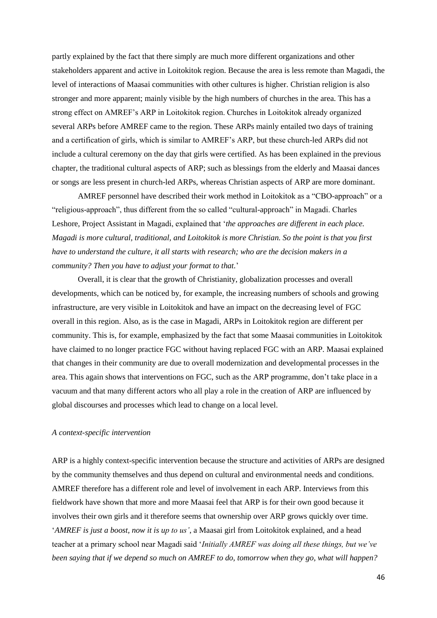partly explained by the fact that there simply are much more different organizations and other stakeholders apparent and active in Loitokitok region. Because the area is less remote than Magadi, the level of interactions of Maasai communities with other cultures is higher. Christian religion is also stronger and more apparent; mainly visible by the high numbers of churches in the area. This has a strong effect on AMREF"s ARP in Loitokitok region. Churches in Loitokitok already organized several ARPs before AMREF came to the region. These ARPs mainly entailed two days of training and a certification of girls, which is similar to AMREF"s ARP, but these church-led ARPs did not include a cultural ceremony on the day that girls were certified. As has been explained in the previous chapter, the traditional cultural aspects of ARP; such as blessings from the elderly and Maasai dances or songs are less present in church-led ARPs, whereas Christian aspects of ARP are more dominant.

AMREF personnel have described their work method in Loitokitok as a "CBO-approach" or a "religious-approach", thus different from the so called "cultural-approach" in Magadi. Charles Leshore, Project Assistant in Magadi, explained that "*the approaches are different in each place. Magadi is more cultural, traditional, and Loitokitok is more Christian. So the point is that you first have to understand the culture, it all starts with research; who are the decision makers in a community? Then you have to adjust your format to that.*"

Overall, it is clear that the growth of Christianity, globalization processes and overall developments, which can be noticed by, for example, the increasing numbers of schools and growing infrastructure, are very visible in Loitokitok and have an impact on the decreasing level of FGC overall in this region. Also, as is the case in Magadi, ARPs in Loitokitok region are different per community. This is, for example, emphasized by the fact that some Maasai communities in Loitokitok have claimed to no longer practice FGC without having replaced FGC with an ARP. Maasai explained that changes in their community are due to overall modernization and developmental processes in the area. This again shows that interventions on FGC, such as the ARP programme, don"t take place in a vacuum and that many different actors who all play a role in the creation of ARP are influenced by global discourses and processes which lead to change on a local level.

#### *A context-specific intervention*

ARP is a highly context-specific intervention because the structure and activities of ARPs are designed by the community themselves and thus depend on cultural and environmental needs and conditions. AMREF therefore has a different role and level of involvement in each ARP. Interviews from this fieldwork have shown that more and more Maasai feel that ARP is for their own good because it involves their own girls and it therefore seems that ownership over ARP grows quickly over time. "*AMREF is just a boost, now it is up to us"*, a Maasai girl from Loitokitok explained, and a head teacher at a primary school near Magadi said "*Initially AMREF was doing all these things, but we"ve been saying that if we depend so much on AMREF to do, tomorrow when they go, what will happen?*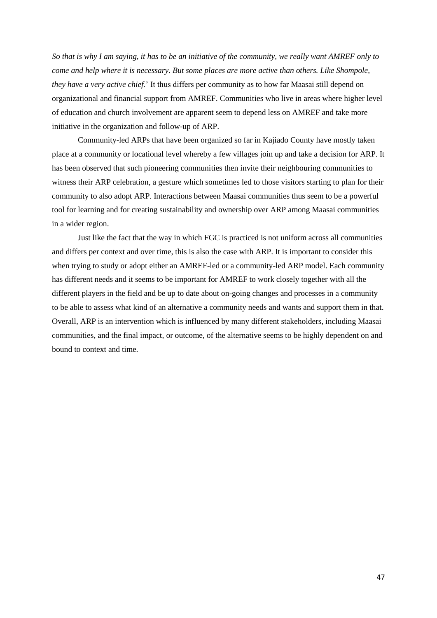*So that is why I am saying, it has to be an initiative of the community, we really want AMREF only to come and help where it is necessary. But some places are more active than others. Like Shompole, they have a very active chief.*" It thus differs per community as to how far Maasai still depend on organizational and financial support from AMREF. Communities who live in areas where higher level of education and church involvement are apparent seem to depend less on AMREF and take more initiative in the organization and follow-up of ARP.

Community-led ARPs that have been organized so far in Kajiado County have mostly taken place at a community or locational level whereby a few villages join up and take a decision for ARP. It has been observed that such pioneering communities then invite their neighbouring communities to witness their ARP celebration, a gesture which sometimes led to those visitors starting to plan for their community to also adopt ARP. Interactions between Maasai communities thus seem to be a powerful tool for learning and for creating sustainability and ownership over ARP among Maasai communities in a wider region.

Just like the fact that the way in which FGC is practiced is not uniform across all communities and differs per context and over time, this is also the case with ARP. It is important to consider this when trying to study or adopt either an AMREF-led or a community-led ARP model. Each community has different needs and it seems to be important for AMREF to work closely together with all the different players in the field and be up to date about on-going changes and processes in a community to be able to assess what kind of an alternative a community needs and wants and support them in that. Overall, ARP is an intervention which is influenced by many different stakeholders, including Maasai communities, and the final impact, or outcome, of the alternative seems to be highly dependent on and bound to context and time.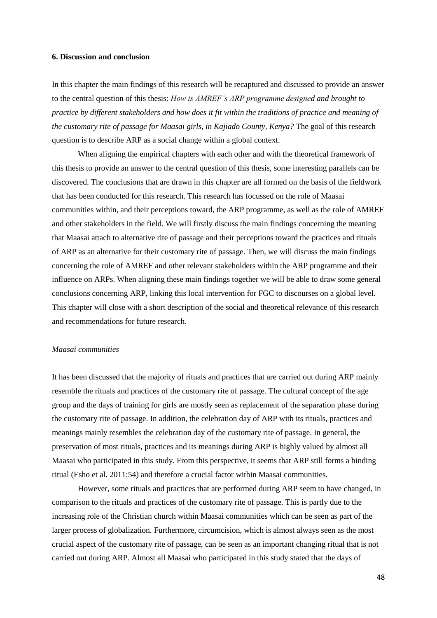#### **6. Discussion and conclusion**

In this chapter the main findings of this research will be recaptured and discussed to provide an answer to the central question of this thesis: *How is AMREF"s ARP programme designed and brought to practice by different stakeholders and how does it fit within the traditions of practice and meaning of the customary rite of passage for Maasai girls, in Kajiado County, Kenya?* The goal of this research question is to describe ARP as a social change within a global context.

When aligning the empirical chapters with each other and with the theoretical framework of this thesis to provide an answer to the central question of this thesis, some interesting parallels can be discovered. The conclusions that are drawn in this chapter are all formed on the basis of the fieldwork that has been conducted for this research. This research has focussed on the role of Maasai communities within, and their perceptions toward, the ARP programme, as well as the role of AMREF and other stakeholders in the field. We will firstly discuss the main findings concerning the meaning that Maasai attach to alternative rite of passage and their perceptions toward the practices and rituals of ARP as an alternative for their customary rite of passage. Then, we will discuss the main findings concerning the role of AMREF and other relevant stakeholders within the ARP programme and their influence on ARPs. When aligning these main findings together we will be able to draw some general conclusions concerning ARP, linking this local intervention for FGC to discourses on a global level. This chapter will close with a short description of the social and theoretical relevance of this research and recommendations for future research.

#### *Maasai communities*

It has been discussed that the majority of rituals and practices that are carried out during ARP mainly resemble the rituals and practices of the customary rite of passage. The cultural concept of the age group and the days of training for girls are mostly seen as replacement of the separation phase during the customary rite of passage. In addition, the celebration day of ARP with its rituals, practices and meanings mainly resembles the celebration day of the customary rite of passage. In general, the preservation of most rituals, practices and its meanings during ARP is highly valued by almost all Maasai who participated in this study. From this perspective, it seems that ARP still forms a binding ritual (Esho et al. 2011:54) and therefore a crucial factor within Maasai communities.

However, some rituals and practices that are performed during ARP seem to have changed, in comparison to the rituals and practices of the customary rite of passage. This is partly due to the increasing role of the Christian church within Maasai communities which can be seen as part of the larger process of globalization. Furthermore, circumcision, which is almost always seen as the most crucial aspect of the customary rite of passage, can be seen as an important changing ritual that is not carried out during ARP. Almost all Maasai who participated in this study stated that the days of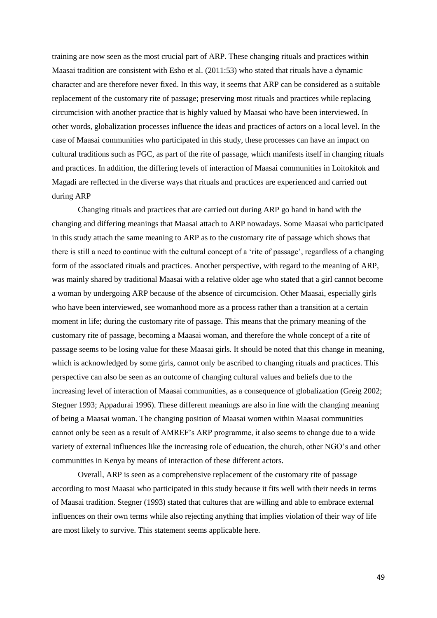training are now seen as the most crucial part of ARP. These changing rituals and practices within Maasai tradition are consistent with Esho et al. (2011:53) who stated that rituals have a dynamic character and are therefore never fixed. In this way, it seems that ARP can be considered as a suitable replacement of the customary rite of passage; preserving most rituals and practices while replacing circumcision with another practice that is highly valued by Maasai who have been interviewed. In other words, globalization processes influence the ideas and practices of actors on a local level. In the case of Maasai communities who participated in this study, these processes can have an impact on cultural traditions such as FGC, as part of the rite of passage, which manifests itself in changing rituals and practices. In addition, the differing levels of interaction of Maasai communities in Loitokitok and Magadi are reflected in the diverse ways that rituals and practices are experienced and carried out during ARP

Changing rituals and practices that are carried out during ARP go hand in hand with the changing and differing meanings that Maasai attach to ARP nowadays. Some Maasai who participated in this study attach the same meaning to ARP as to the customary rite of passage which shows that there is still a need to continue with the cultural concept of a "rite of passage", regardless of a changing form of the associated rituals and practices. Another perspective, with regard to the meaning of ARP, was mainly shared by traditional Maasai with a relative older age who stated that a girl cannot become a woman by undergoing ARP because of the absence of circumcision. Other Maasai, especially girls who have been interviewed, see womanhood more as a process rather than a transition at a certain moment in life; during the customary rite of passage. This means that the primary meaning of the customary rite of passage, becoming a Maasai woman, and therefore the whole concept of a rite of passage seems to be losing value for these Maasai girls. It should be noted that this change in meaning, which is acknowledged by some girls, cannot only be ascribed to changing rituals and practices. This perspective can also be seen as an outcome of changing cultural values and beliefs due to the increasing level of interaction of Maasai communities, as a consequence of globalization (Greig 2002; Stegner 1993; Appadurai 1996). These different meanings are also in line with the changing meaning of being a Maasai woman. The changing position of Maasai women within Maasai communities cannot only be seen as a result of AMREF"s ARP programme, it also seems to change due to a wide variety of external influences like the increasing role of education, the church, other NGO"s and other communities in Kenya by means of interaction of these different actors.

Overall, ARP is seen as a comprehensive replacement of the customary rite of passage according to most Maasai who participated in this study because it fits well with their needs in terms of Maasai tradition. Stegner (1993) stated that cultures that are willing and able to embrace external influences on their own terms while also rejecting anything that implies violation of their way of life are most likely to survive. This statement seems applicable here.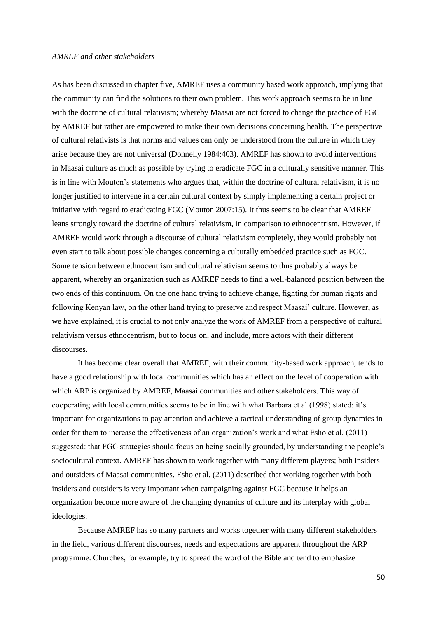#### *AMREF and other stakeholders*

As has been discussed in chapter five, AMREF uses a community based work approach, implying that the community can find the solutions to their own problem. This work approach seems to be in line with the doctrine of cultural relativism; whereby Maasai are not forced to change the practice of FGC by AMREF but rather are empowered to make their own decisions concerning health. The perspective of cultural relativists is that norms and values can only be understood from the culture in which they arise because they are not universal (Donnelly 1984:403). AMREF has shown to avoid interventions in Maasai culture as much as possible by trying to eradicate FGC in a culturally sensitive manner. This is in line with Mouton's statements who argues that, within the doctrine of cultural relativism, it is no longer justified to intervene in a certain cultural context by simply implementing a certain project or initiative with regard to eradicating FGC (Mouton 2007:15). It thus seems to be clear that AMREF leans strongly toward the doctrine of cultural relativism, in comparison to ethnocentrism. However, if AMREF would work through a discourse of cultural relativism completely, they would probably not even start to talk about possible changes concerning a culturally embedded practice such as FGC. Some tension between ethnocentrism and cultural relativism seems to thus probably always be apparent, whereby an organization such as AMREF needs to find a well-balanced position between the two ends of this continuum. On the one hand trying to achieve change, fighting for human rights and following Kenyan law, on the other hand trying to preserve and respect Maasai" culture. However, as we have explained, it is crucial to not only analyze the work of AMREF from a perspective of cultural relativism versus ethnocentrism, but to focus on, and include, more actors with their different discourses.

It has become clear overall that AMREF, with their community-based work approach, tends to have a good relationship with local communities which has an effect on the level of cooperation with which ARP is organized by AMREF, Maasai communities and other stakeholders. This way of cooperating with local communities seems to be in line with what Barbara et al (1998) stated: it"s important for organizations to pay attention and achieve a tactical understanding of group dynamics in order for them to increase the effectiveness of an organization"s work and what Esho et al. (2011) suggested: that FGC strategies should focus on being socially grounded, by understanding the people's sociocultural context. AMREF has shown to work together with many different players; both insiders and outsiders of Maasai communities. Esho et al. (2011) described that working together with both insiders and outsiders is very important when campaigning against FGC because it helps an organization become more aware of the changing dynamics of culture and its interplay with global ideologies.

Because AMREF has so many partners and works together with many different stakeholders in the field, various different discourses, needs and expectations are apparent throughout the ARP programme. Churches, for example, try to spread the word of the Bible and tend to emphasize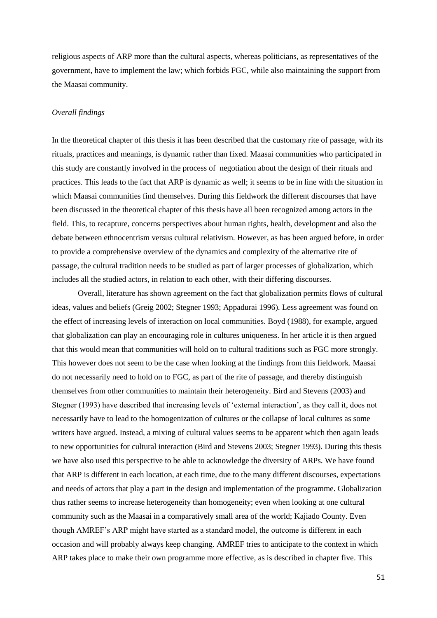religious aspects of ARP more than the cultural aspects, whereas politicians, as representatives of the government, have to implement the law; which forbids FGC, while also maintaining the support from the Maasai community.

#### *Overall findings*

In the theoretical chapter of this thesis it has been described that the customary rite of passage, with its rituals, practices and meanings, is dynamic rather than fixed. Maasai communities who participated in this study are constantly involved in the process of negotiation about the design of their rituals and practices. This leads to the fact that ARP is dynamic as well; it seems to be in line with the situation in which Maasai communities find themselves. During this fieldwork the different discourses that have been discussed in the theoretical chapter of this thesis have all been recognized among actors in the field. This, to recapture, concerns perspectives about human rights, health, development and also the debate between ethnocentrism versus cultural relativism. However, as has been argued before, in order to provide a comprehensive overview of the dynamics and complexity of the alternative rite of passage, the cultural tradition needs to be studied as part of larger processes of globalization, which includes all the studied actors, in relation to each other, with their differing discourses.

Overall, literature has shown agreement on the fact that globalization permits flows of cultural ideas, values and beliefs (Greig 2002; Stegner 1993; Appadurai 1996). Less agreement was found on the effect of increasing levels of interaction on local communities. Boyd (1988), for example, argued that globalization can play an encouraging role in cultures uniqueness. In her article it is then argued that this would mean that communities will hold on to cultural traditions such as FGC more strongly. This however does not seem to be the case when looking at the findings from this fieldwork. Maasai do not necessarily need to hold on to FGC, as part of the rite of passage, and thereby distinguish themselves from other communities to maintain their heterogeneity. Bird and Stevens (2003) and Stegner (1993) have described that increasing levels of "external interaction", as they call it, does not necessarily have to lead to the homogenization of cultures or the collapse of local cultures as some writers have argued. Instead, a mixing of cultural values seems to be apparent which then again leads to new opportunities for cultural interaction (Bird and Stevens 2003; Stegner 1993). During this thesis we have also used this perspective to be able to acknowledge the diversity of ARPs. We have found that ARP is different in each location, at each time, due to the many different discourses, expectations and needs of actors that play a part in the design and implementation of the programme. Globalization thus rather seems to increase heterogeneity than homogeneity; even when looking at one cultural community such as the Maasai in a comparatively small area of the world; Kajiado County. Even though AMREF"s ARP might have started as a standard model, the outcome is different in each occasion and will probably always keep changing. AMREF tries to anticipate to the context in which ARP takes place to make their own programme more effective, as is described in chapter five. This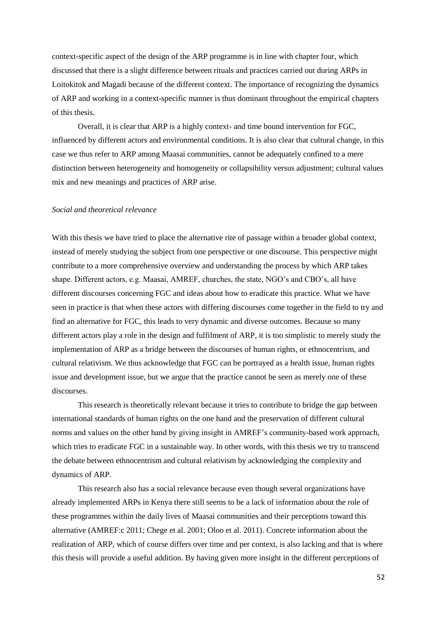context-specific aspect of the design of the ARP programme is in line with chapter four, which discussed that there is a slight difference between rituals and practices carried out during ARPs in Loitokitok and Magadi because of the different context. The importance of recognizing the dynamics of ARP and working in a context-specific manner is thus dominant throughout the empirical chapters of this thesis.

Overall, it is clear that ARP is a highly context- and time bound intervention for FGC, influenced by different actors and environmental conditions. It is also clear that cultural change, in this case we thus refer to ARP among Maasai communities, cannot be adequately confined to a mere distinction between heterogeneity and homogeneity or collapsibility versus adjustment; cultural values mix and new meanings and practices of ARP arise.

#### *Social and theoretical relevance*

With this thesis we have tried to place the alternative rite of passage within a broader global context, instead of merely studying the subject from one perspective or one discourse. This perspective might contribute to a more comprehensive overview and understanding the process by which ARP takes shape. Different actors, e.g. Maasai, AMREF, churches, the state, NGO"s and CBO"s, all have different discourses concerning FGC and ideas about how to eradicate this practice. What we have seen in practice is that when these actors with differing discourses come together in the field to try and find an alternative for FGC, this leads to very dynamic and diverse outcomes. Because so many different actors play a role in the design and fulfilment of ARP, it is too simplistic to merely study the implementation of ARP as a bridge between the discourses of human rights, or ethnocentrism, and cultural relativism. We thus acknowledge that FGC can be portrayed as a health issue, human rights issue and development issue, but we argue that the practice cannot be seen as merely one of these discourses.

This research is theoretically relevant because it tries to contribute to bridge the gap between international standards of human rights on the one hand and the preservation of different cultural norms and values on the other hand by giving insight in AMREF's community-based work approach, which tries to eradicate FGC in a sustainable way. In other words, with this thesis we try to transcend the debate between ethnocentrism and cultural relativism by acknowledging the complexity and dynamics of ARP.

This research also has a social relevance because even though several organizations have already implemented ARPs in Kenya there still seems to be a lack of information about the role of these programmes within the daily lives of Maasai communities and their perceptions toward this alternative (AMREF:c 2011; Chege et al. 2001; Oloo et al. 2011). Concrete information about the realization of ARP, which of course differs over time and per context, is also lacking and that is where this thesis will provide a useful addition. By having given more insight in the different perceptions of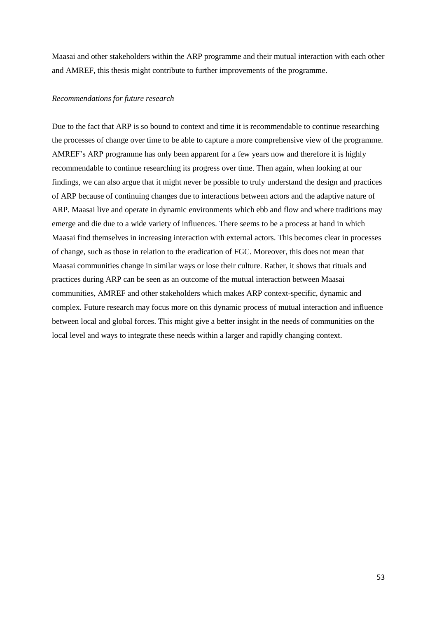Maasai and other stakeholders within the ARP programme and their mutual interaction with each other and AMREF, this thesis might contribute to further improvements of the programme.

#### *Recommendations for future research*

Due to the fact that ARP is so bound to context and time it is recommendable to continue researching the processes of change over time to be able to capture a more comprehensive view of the programme. AMREF"s ARP programme has only been apparent for a few years now and therefore it is highly recommendable to continue researching its progress over time. Then again, when looking at our findings, we can also argue that it might never be possible to truly understand the design and practices of ARP because of continuing changes due to interactions between actors and the adaptive nature of ARP. Maasai live and operate in dynamic environments which ebb and flow and where traditions may emerge and die due to a wide variety of influences. There seems to be a process at hand in which Maasai find themselves in increasing interaction with external actors. This becomes clear in processes of change, such as those in relation to the eradication of FGC. Moreover, this does not mean that Maasai communities change in similar ways or lose their culture. Rather, it shows that rituals and practices during ARP can be seen as an outcome of the mutual interaction between Maasai communities, AMREF and other stakeholders which makes ARP context-specific, dynamic and complex. Future research may focus more on this dynamic process of mutual interaction and influence between local and global forces. This might give a better insight in the needs of communities on the local level and ways to integrate these needs within a larger and rapidly changing context.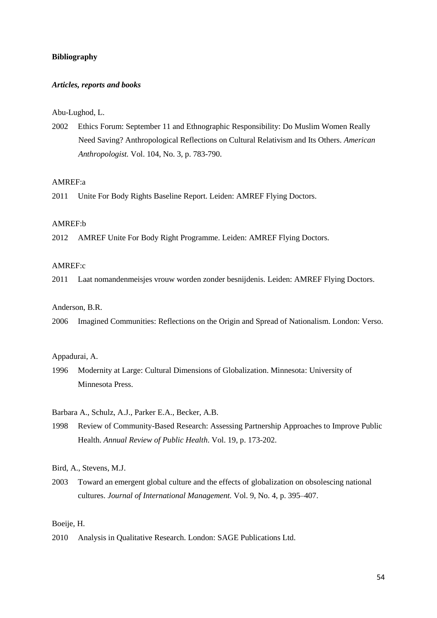## **Bibliography**

#### *Articles, reports and books*

#### Abu-Lughod, L.

2002 Ethics Forum: September 11 and Ethnographic Responsibility: Do Muslim Women Really Need Saving? Anthropological Reflections on Cultural Relativism and Its Others. *American Anthropologist.* Vol. 104, No. 3, p. 783-790.

## AMREF:a

2011 Unite For Body Rights Baseline Report. Leiden: AMREF Flying Doctors.

#### AMREF:b

2012 AMREF Unite For Body Right Programme. Leiden: AMREF Flying Doctors.

#### AMREF:c

2011 Laat nomandenmeisjes vrouw worden zonder besnijdenis. Leiden: AMREF Flying Doctors.

#### Anderson, B.R.

2006 Imagined Communities: Reflections on the Origin and Spread of Nationalism. London: Verso.

## Appadurai, A.

1996 Modernity at Large: Cultural Dimensions of Globalization. Minnesota: University of Minnesota Press.

Barbara A., Schulz, A.J., Parker E.A., Becker, A.B.

1998 Review of Community-Based Research: Assessing Partnership Approaches to Improve Public Health. *Annual Review of Public Health*. Vol. 19, p. 173-202.

Bird, A., Stevens, M.J.

2003 Toward an emergent global culture and the effects of globalization on obsolescing national cultures. *Journal of International [Management.](http://www.sciencedirect.com/science/journal/10754253)* [Vol. 9, No. 4,](http://www.sciencedirect.com/science/journal/10754253/9/4) p. 395–407.

#### Boeije, H.

2010 Analysis in Qualitative Research. London: SAGE Publications Ltd.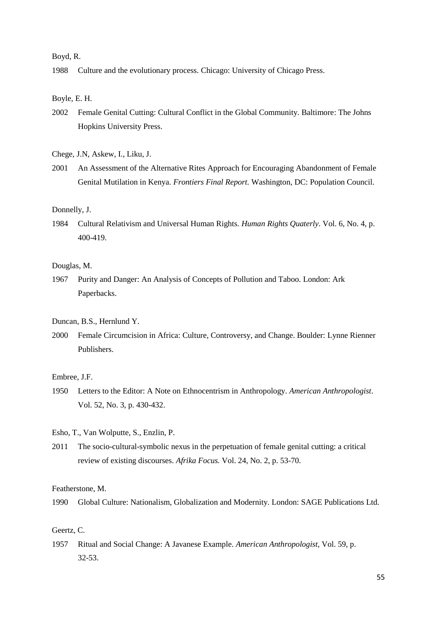#### Boyd, R.

1988 Culture and the evolutionary process. Chicago: University of Chicago Press.

Boyle, E. H.

2002 Female Genital Cutting: Cultural Conflict in the Global Community. Baltimore: The Johns Hopkins University Press.

Chege, J.N, Askew, I., Liku, J.

2001 An Assessment of the Alternative Rites Approach for Encouraging Abandonment of Female Genital Mutilation in Kenya. *Frontiers Final Report.* Washington, DC: Population Council.

#### Donnelly, J.

1984 Cultural Relativism and Universal Human Rights. *Human Rights Quaterly*. Vol. 6, No. 4, p. 400-419.

#### Douglas, M.

1967 Purity and Danger: An Analysis of Concepts of Pollution and Taboo. London: Ark Paperbacks.

#### Duncan, B.S., Hernlund Y.

2000 Female Circumcision in Africa: Culture, Controversy, and Change. Boulder: Lynne Rienner Publishers.

Embree, J.F.

1950 Letters to the Editor: A Note on Ethnocentrism in Anthropology. *American Anthropologist*. Vol. 52, No. 3, p. 430-432.

Esho, T., Van Wolputte, S., Enzlin, P.

2011 The socio-cultural-symbolic nexus in the perpetuation of female genital cutting: a critical review of existing discourses. *Afrika Focus.* Vol. 24, No. 2, p. 53-70.

Featherstone, M.

1990 Global Culture: Nationalism, Globalization and Modernity. London: SAGE Publications Ltd.

#### Geertz, C.

1957 Ritual and Social Change: A Javanese Example. *American Anthropologist,* Vol. 59, p. 32-53.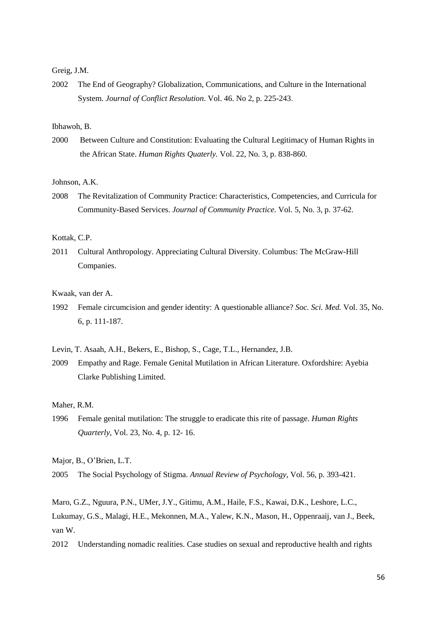Greig, J.M.

2002 The End of Geography? Globalization, Communications, and Culture in the International System. *Journal of Conflict Resolution*. Vol. 46. No 2, p. 225-243.

#### Ibhawoh, B.

2000 Between Culture and Constitution: Evaluating the Cultural Legitimacy of Human Rights in the African State. *Human Rights Quaterly.* Vol. 22, No. 3, p. 838-860.

#### Johnson, A.K.

2008 The Revitalization of Community Practice: Characteristics, Competencies, and Curricula for Community-Based Services. *Journal of Community Practice.* Vol. 5, No. 3, p. 37-62.

#### Kottak, C.P.

2011 Cultural Anthropology. Appreciating Cultural Diversity. Columbus: The McGraw-Hill Companies.

Kwaak, van der A.

1992 Female circumcision and gender identity: A questionable alliance? *Soc. Sci. Med.* Vol. 35, No. 6, p. 111-187.

Levin, T. Asaah, A.H., Bekers, E., Bishop, S., Cage, T.L., Hernandez, J.B.

2009 Empathy and Rage. Female Genital Mutilation in African Literature. Oxfordshire: Ayebia Clarke Publishing Limited.

#### Maher, R.M.

1996 Female genital mutilation: The struggle to eradicate this rite of passage. *Human Rights Quarterly*, Vol. 23, No. 4, p. 12- 16.

Major, B., O"Brien, L.T.

2005 The Social Psychology of Stigma. *Annual Review of Psychology,* Vol. 56, p. 393-421.

Maro, G.Z., Nguura, P.N., UMer, J.Y., Gitimu, A.M., Haile, F.S., Kawai, D.K., Leshore, L.C., Lukumay, G.S., Malagi, H.E., Mekonnen, M.A., Yalew, K.N., Mason, H., Oppenraaij, van J., Beek, van W.

2012 Understanding nomadic realities. Case studies on sexual and reproductive health and rights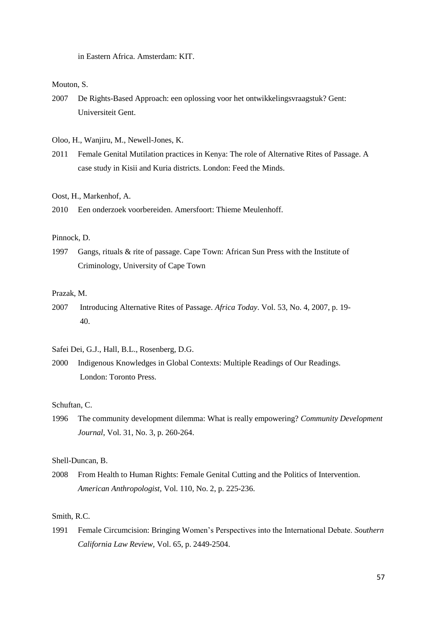in Eastern Africa. Amsterdam: KIT.

Mouton, S.

2007 De Rights-Based Approach: een oplossing voor het ontwikkelingsvraagstuk? Gent: Universiteit Gent.

Oloo, H., Wanjiru, M., Newell-Jones, K.

2011 Female Genital Mutilation practices in Kenya: The role of Alternative Rites of Passage. A case study in Kisii and Kuria districts. London: Feed the Minds.

Oost, H., Markenhof, A.

2010 Een onderzoek voorbereiden. Amersfoort: Thieme Meulenhoff.

#### Pinnock, D.

1997 Gangs, rituals & rite of passage. Cape Town: African Sun Press with the Institute of Criminology, University of Cape Town

#### Prazak, M.

2007 Introducing Alternative Rites of Passage. *Africa Today*. Vol. 53, No. 4, 2007, p. 19- 40.

Safei Dei, G.J., Hall, B.L., Rosenberg, D.G.

2000 Indigenous Knowledges in Global Contexts: Multiple Readings of Our Readings. London: Toronto Press.

#### Schuftan, C.

1996 The community development dilemma: What is really empowering? *Community Development Journal*, Vol. 31, No. 3, p. 260-264.

Shell-Duncan, B.

2008 From Health to Human Rights: Female Genital Cutting and the Politics of Intervention. *American Anthropologist,* Vol. 110, No. 2, p. 225-236.

## Smith, R.C.

1991 Female Circumcision: Bringing Women"s Perspectives into the International Debate. *Southern California Law Review,* Vol. 65, p. 2449-2504.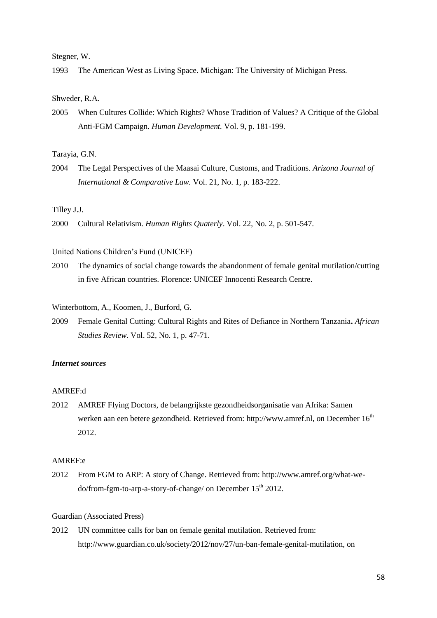#### Stegner, W.

1993 The American West as Living Space. Michigan: The University of Michigan Press.

Shweder, R.A.

2005 When Cultures Collide: Which Rights? Whose Tradition of Values? A Critique of the Global Anti-FGM Campaign. *Human Development.* Vol. 9, p. 181-199.

Tarayia, G.N.

2004 The Legal Perspectives of the Maasai Culture, Customs, and Traditions. *Arizona Journal of International & Comparative Law.* Vol. 21, No. 1, p. 183-222.

#### Tilley J.J.

2000 Cultural Relativism. *Human Rights Quaterly*. Vol. 22, No. 2, p. 501-547.

#### United Nations Children"s Fund (UNICEF)

2010 The dynamics of social change towards the abandonment of female genital mutilation/cutting in five African countries. Florence: UNICEF Innocenti Research Centre.

#### Winterbottom, A., Koomen, J., Burford, G.

2009 Female Genital Cutting: Cultural Rights and Rites of Defiance in Northern Tanzania**.** *African Studies Review.* Vol. 52, No. 1, p. 47-71.

#### *Internet sources*

#### AMREF:d

2012 AMREF Flying Doctors, de belangrijkste gezondheidsorganisatie van Afrika: Samen werken aan een betere gezondheid. Retrieved from: [http://www.amref.nl,](http://www.amref.nl/) on December 16<sup>th</sup> 2012.

#### AMREF:e

2012 From FGM to ARP: A story of Change. Retrieved from: [http://www.amref.org/what-we](http://www.amref.org/what-we-%20%09do/from-fgm-to-arp-a-story-of-change/)[do/from-fgm-to-arp-a-story-of-change/](http://www.amref.org/what-we-%20%09do/from-fgm-to-arp-a-story-of-change/) on December 15<sup>th</sup> 2012.

#### Guardian (Associated Press)

2012 UN committee calls for ban on female genital mutilation. Retrieved from: [http://www.guardian.co.uk/society/2012/nov/27/un-ban-female-genital-mutilation,](http://www.guardian.co.uk/society/2012/nov/27/un-ban-female-genital-mutilation) on